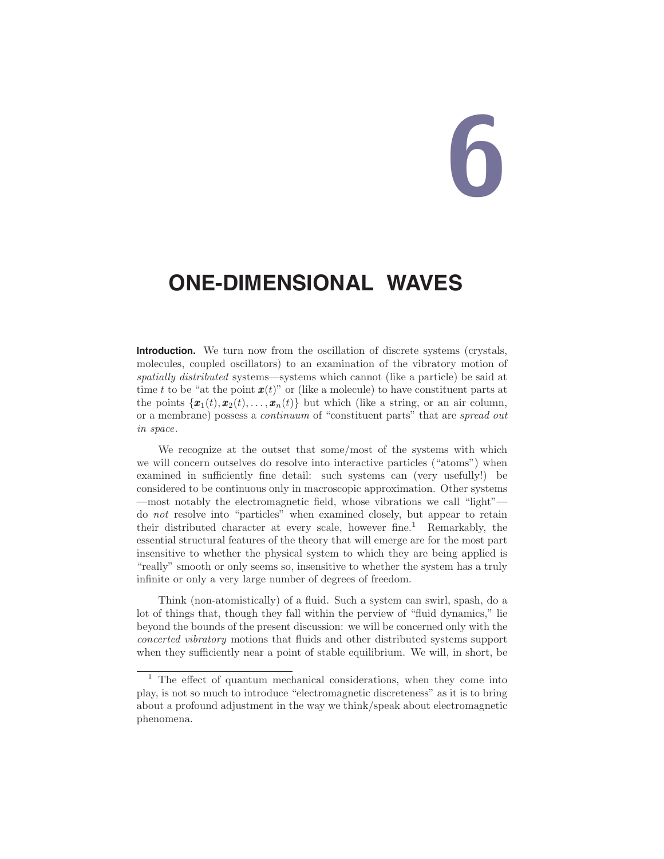# **6**

# **ONE-DIMENSIONAL WAVES**

**Introduction.** We turn now from the oscillation of discrete systems (crystals, molecules, coupled oscillators) to an examination of the vibratory motion of spatially distributed systems—systems which cannot (like a particle) be said at time *t* to be "at the point  $\mathbf{x}(t)$ " or (like a molecule) to have constituent parts at the points  $\{\boldsymbol{x}_1(t), \boldsymbol{x}_2(t), \ldots, \boldsymbol{x}_n(t)\}\$  but which (like a string, or an air column, or a membrane) possess a continuum of "constituent parts" that are spread out in space.

We recognize at the outset that some/most of the systems with which we will concern outselves do resolve into interactive particles ("atoms") when examined in sufficiently fine detail: such systems can (very usefully!) be considered to be continuous only in macroscopic approximation. Other systems —most notably the electromagnetic field, whose vibrations we call "light" do not resolve into "particles" when examined closely, but appear to retain their distributed character at every scale, however fine.<sup>1</sup> Remarkably, the essential structural features of the theory that will emerge are for the most part insensitive to whether the physical system to which they are being applied is "really" smooth or only seems so, insensitive to whether the system has a truly infinite or only a very large number of degrees of freedom.

Think (non-atomistically) of a fluid. Such a system can swirl, spash, do a lot of things that, though they fall within the perview of "fluid dynamics," lie beyond the bounds of the present discussion: we will be concerned only with the concerted vibratory motions that fluids and other distributed systems support when they sufficiently near a point of stable equilibrium. We will, in short, be

<sup>&</sup>lt;sup>1</sup> The effect of quantum mechanical considerations, when they come into play, is not so much to introduce "electromagnetic discreteness" as it is to bring about a profound adjustment in the way we think/speak about electromagnetic phenomena.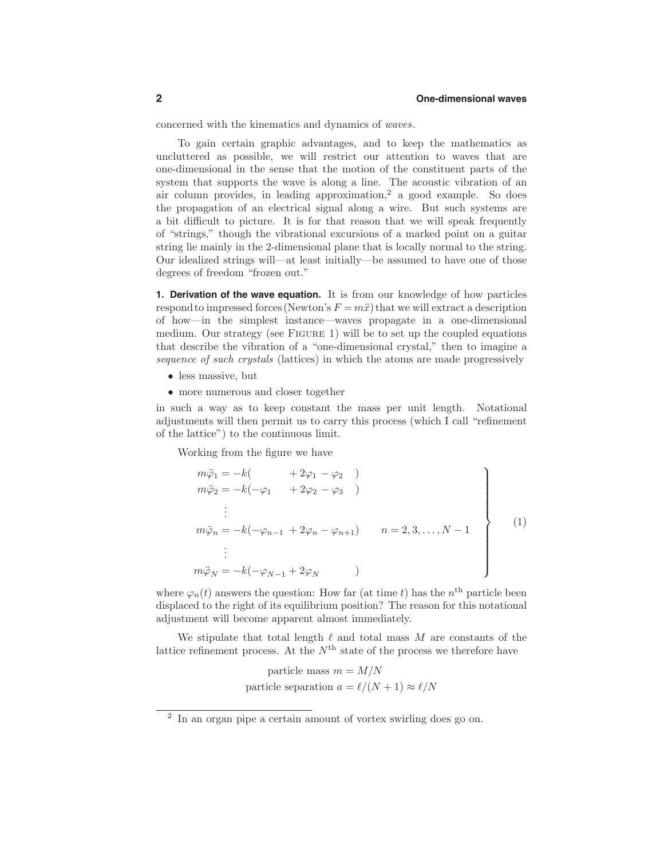concerned with the kinematics and dynamics of waves.

To gain certain graphic advantages, and to keep the mathematics as uncluttered as possible, we will restrict our attention to waves that are one-dimensional in the sense that the motion of the constituent parts of the system that supports the wave is along a line. The acoustic vibration of an air column provides, in leading approximation, $2$  a good example. So does the propagation of an electrical signal along a wire. But such systems are a bit difficult to picture. It is for that reason that we will speak frequently of "strings," though the vibrational excursions of a marked point on a guitar string lie mainly in the 2-dimensional plane that is locally normal to the string. Our idealized strings will—at least initially—be assumed to have one of those degrees of freedom "frozen out."

**1. Derivation of the wave equation.** It is from our knowledge of how particles respond to impressed forces (Newton's  $F = m\ddot{x}$ ) that we will extract a description of how—in the simplest instance—waves propagate in a one-dimensional medium. Our strategy (see FIGURE 1) will be to set up the coupled equations that describe the vibration of a "one-dimensional crystal," then to imagine a sequence of such crystals (lattices) in which the atoms are made progressively

- less massive, but
- more numerous and closer together

in such a way as to keep constant the mass per unit length. Notational adjustments will then permit us to carry this process (which I call "refinement of the lattice") to the continuous limit.

Working from the figure we have

$$
m\ddot{\varphi}_1 = -k(\n+2\varphi_1 - \varphi_2)\n\nm\ddot{\varphi}_2 = -k(-\varphi_1 + 2\varphi_2 - \varphi_3)\n\n\vdots\n\nm\ddot{\varphi}_n = -k(-\varphi_{n-1} + 2\varphi_n - \varphi_{n+1})\n\n\vdots\n\nm\ddot{\varphi}_N = -k(-\varphi_{N-1} + 2\varphi_N)\n
$$
\n(1)

where  $\varphi_n(t)$  answers the question: How far (at time *t*) has the *n*<sup>th</sup> particle been displaced to the right of its equilibrium position? The reason for this notational adjustment will become apparent almost immediately.

We stipulate that total length  $\ell$  and total mass  $M$  are constants of the lattice refinement process. At the  $N<sup>th</sup>$  state of the process we therefore have

> particle mass  $m = M/N$ particle separation  $a = \ell/(N+1) \approx \ell/N$

<sup>2</sup> In an organ pipe a certain amount of vortex swirling does go on.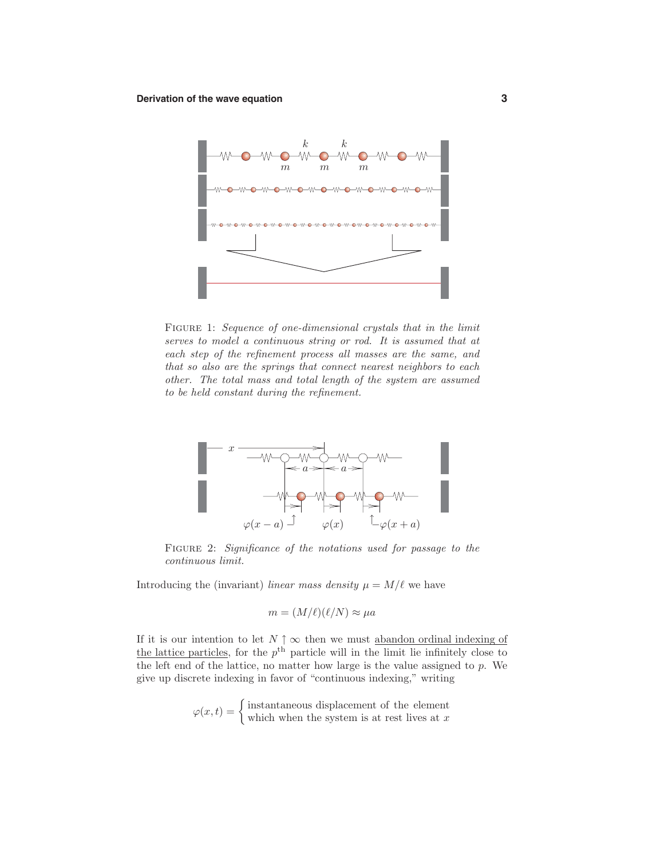

FIGURE 1: Sequence of one-dimensional crystals that in the limit serves to model a continuous string or rod. It is assumed that at each step of the refinement process all masses are the same, and that so also are the springs that connect nearest neighbors to each other. The total mass and total length of the system are assumed to be held constant during the refinement.



FIGURE 2: Significance of the notations used for passage to the continuous limit.

Introducing the (invariant) linear mass density  $\mu = M/\ell$  we have

$$
m = (M/\ell)(\ell/N) \approx \mu a
$$

If it is our intention to let  $N \uparrow \infty$  then we must abandon ordinal indexing of the lattice particles, for the  $p<sup>th</sup>$  particle will in the limit lie infinitely close to the left end of the lattice, no matter how large is the value assigned to *p*. We give up discrete indexing in favor of "continuous indexing," writing

$$
\varphi(x,t) = \begin{cases} \text{instantaneous displacement of the element} \\ \text{which when the system is at rest lives at } x \end{cases}
$$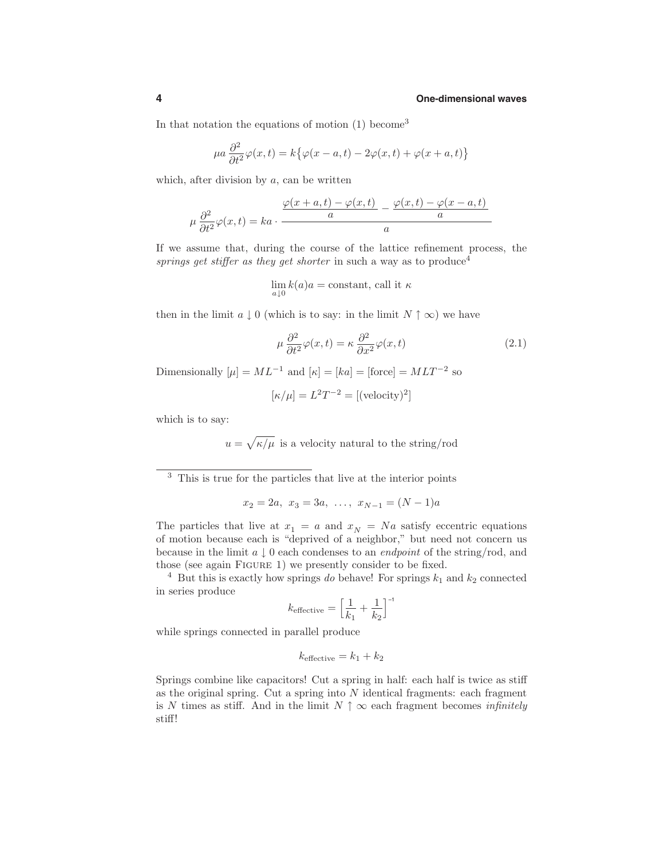In that notation the equations of motion  $(1)$  become<sup>3</sup>

$$
\mu a \frac{\partial^2}{\partial t^2} \varphi(x,t) = k \{ \varphi(x-a,t) - 2\varphi(x,t) + \varphi(x+a,t) \}
$$

which, after division by *a*, can be written

$$
\mu \frac{\partial^2}{\partial t^2} \varphi(x,t) = ka \cdot \frac{\varphi(x+a,t) - \varphi(x,t)}{a} - \frac{\varphi(x,t) - \varphi(x-a,t)}{a}
$$

If we assume that, during the course of the lattice refinement process, the springs get stiffer as they get shorter in such a way as to produce<sup>4</sup>

$$
\lim_{a \downarrow 0} k(a)a = \text{constant, call it } \kappa
$$

then in the limit  $a \downarrow 0$  (which is to say: in the limit  $N \uparrow \infty$ ) we have

$$
\mu \frac{\partial^2}{\partial t^2} \varphi(x, t) = \kappa \frac{\partial^2}{\partial x^2} \varphi(x, t)
$$
\n(2.1)

Dimensionally  $[\mu] = ML^{-1}$  and  $[\kappa] = [ka] = [\text{force}] = MLT^{-2}$  so

$$
[\kappa/\mu] = L^2 T^{-2} = [(\text{velocity})^2]
$$

which is to say:

 $u = \sqrt{\kappa/\mu}$  is a velocity natural to the string/rod

<sup>3</sup> This is true for the particles that live at the interior points

$$
x_2 = 2a, x_3 = 3a, \ldots, x_{N-1} = (N-1)a
$$

The particles that live at  $x_1 = a$  and  $x_N = Na$  satisfy eccentric equations of motion because each is "deprived of a neighbor," but need not concern us because in the limit  $a \downarrow 0$  each condenses to an *endpoint* of the string/rod, and those (see again FIGURE 1) we presently consider to be fixed.

 $4$  But this is exactly how springs do behave! For springs  $k_1$  and  $k_2$  connected in series produce

$$
k_{\text{effective}} = \left[\frac{1}{k_1} + \frac{1}{k_2}\right]^{-1}
$$

while springs connected in parallel produce

$$
k_{\text{effective}} = k_1 + k_2
$$

Springs combine like capacitors! Cut a spring in half: each half is twice as stiff as the original spring. Cut a spring into *N* identical fragments: each fragment is *N* times as stiff. And in the limit  $N \uparrow \infty$  each fragment becomes *infinitely* stiff!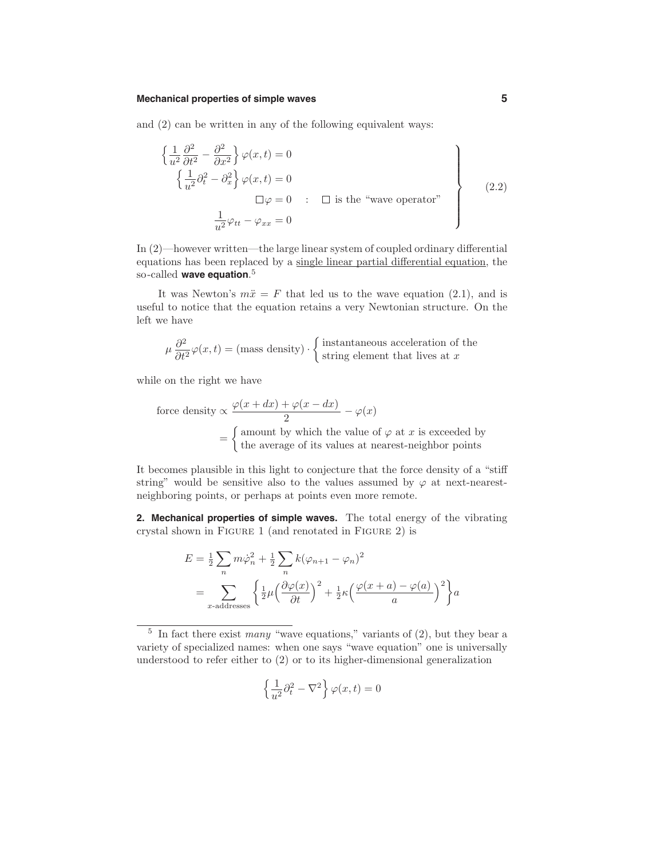#### **Mechanical properties of simple waves 5**

and (2) can be written in any of the following equivalent ways:

$$
\begin{cases}\n\frac{1}{u^2} \frac{\partial^2}{\partial t^2} - \frac{\partial^2}{\partial x^2} \varphi(x, t) = 0 \\
\left\{\frac{1}{u^2} \partial_t^2 - \partial_x^2 \right\} \varphi(x, t) = 0 \\
\Box \varphi = 0 \quad : \quad \Box \text{ is the "wave operator"} \\
\frac{1}{u^2} \varphi_{tt} - \varphi_{xx} = 0\n\end{cases}
$$
\n(2.2)

In (2)—however written—the large linear system of coupled ordinary differential equations has been replaced by a single linear partial differential equation, the so-called **wave equation**. 5

It was Newton's  $m\ddot{x} = F$  that led us to the wave equation (2.1), and is useful to notice that the equation retains a very Newtonian structure. On the left we have

$$
\mu \frac{\partial^2}{\partial t^2} \varphi(x, t) = \text{(mass density)} \cdot \begin{cases} \text{instantaneous acceleration of the} \\ \text{string element that lives at } x \end{cases}
$$

while on the right we have

force density  $\propto \frac{\varphi(x+dx)+\varphi(x-dx)}{2}-\varphi(x)$  $=\begin{cases} \text{amount by which the value of } \varphi \text{ at } x \text{ is exceeded by} \\ \text{the average of its value at nearest neighbor points.} \end{cases}$ the average of its values at nearest-neighbor points

It becomes plausible in this light to conjecture that the force density of a "stiff string" would be sensitive also to the values assumed by  $\varphi$  at next-nearestneighboring points, or perhaps at points even more remote.

**2. Mechanical properties of simple waves.** The total energy of the vibrating crystal shown in Figure 1 (and renotated in Figure 2) is

$$
E = \frac{1}{2} \sum_{n} m \dot{\varphi}_n^2 + \frac{1}{2} \sum_{n} k (\varphi_{n+1} - \varphi_n)^2
$$
  
= 
$$
\sum_{x \text{-addresses}} \left\{ \frac{1}{2} \mu \left( \frac{\partial \varphi(x)}{\partial t} \right)^2 + \frac{1}{2} \kappa \left( \frac{\varphi(x+a) - \varphi(a)}{a} \right)^2 \right\} a
$$

<sup>5</sup> In fact there exist many "wave equations," variants of  $(2)$ , but they bear a variety of specialized names: when one says "wave equation" one is universally understood to refer either to (2) or to its higher-dimensional generalization

$$
\left\{\frac{1}{u^2}\partial_t^2-\nabla^2\right\}\varphi(x,t)=0
$$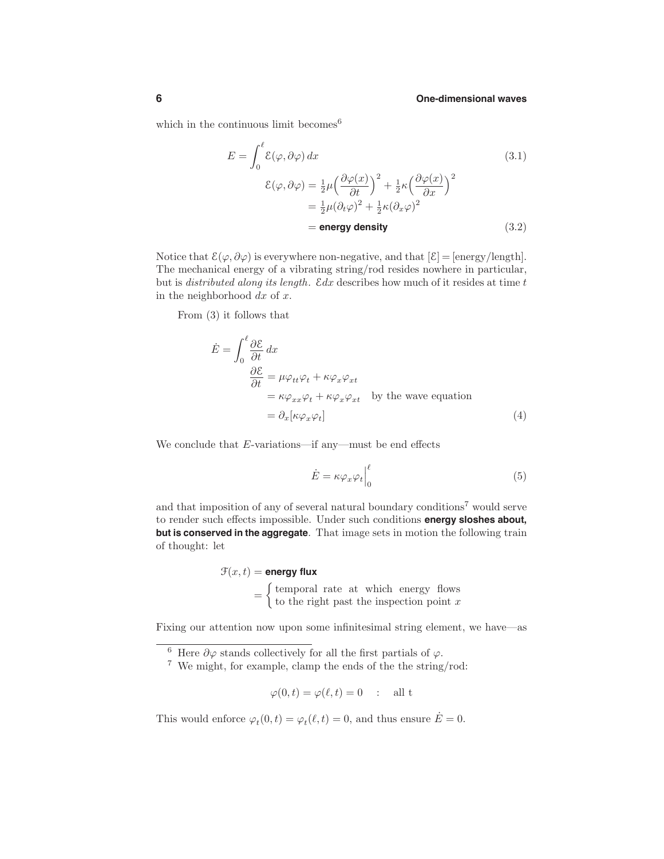which in the continuous limit becomes  $6$ 

$$
E = \int_0^{\ell} \mathcal{E}(\varphi, \partial \varphi) dx
$$
\n
$$
\mathcal{E}(\varphi, \partial \varphi) = \frac{1}{2} \mu \left( \frac{\partial \varphi(x)}{\partial t} \right)^2 + \frac{1}{2} \kappa \left( \frac{\partial \varphi(x)}{\partial x} \right)^2
$$
\n
$$
= \frac{1}{2} \mu (\partial_t \varphi)^2 + \frac{1}{2} \kappa (\partial_x \varphi)^2
$$
\n
$$
= \text{energy density}
$$
\n(3.2)

Notice that  $\mathcal{E}(\varphi,\partial\varphi)$  is everywhere non-negative, and that  $[\mathcal{E}] = [\text{energy/length}]$ . The mechanical energy of a vibrating string/rod resides nowhere in particular, but is distributed along its length. E*dx* describes how much of it resides at time *t* in the neighborhood *dx* of *x*.

From (3) it follows that

$$
\dot{E} = \int_0^{\ell} \frac{\partial \mathcal{E}}{\partial t} dx
$$
\n
$$
\frac{\partial \mathcal{E}}{\partial t} = \mu \varphi_{tt} \varphi_t + \kappa \varphi_x \varphi_{xt}
$$
\n
$$
= \kappa \varphi_{xx} \varphi_t + \kappa \varphi_x \varphi_{xt} \quad \text{by the wave equation}
$$
\n
$$
= \partial_x [\kappa \varphi_x \varphi_t]
$$
\n(4)

We conclude that *E*-variations—if any—must be end effects

$$
\dot{E} = \kappa \varphi_x \varphi_t \Big|_0^\ell \tag{5}
$$

and that imposition of any of several natural boundary conditions<sup>7</sup> would serve to render such effects impossible. Under such conditions **energy sloshes about, but is conserved in the aggregate**. That image sets in motion the following train of thought: let

> $\mathcal{F}(x,t) =$ **energy** flux  $=\begin{cases}$  temporal rate at which energy flows to the right past the inspection point *x*

Fixing our attention now upon some infinitesimal string element, we have—as

$$
\varphi(0,t) = \varphi(\ell,t) = 0 \quad : \quad \text{all } t
$$

This would enforce  $\varphi_t(0,t) = \varphi_t(\ell,t) = 0$ , and thus ensure  $\dot{E} = 0$ .

<sup>&</sup>lt;sup>6</sup> Here  $\partial \varphi$  stands collectively for all the first partials of  $\varphi$ .

<sup>7</sup> We might, for example, clamp the ends of the the string/rod: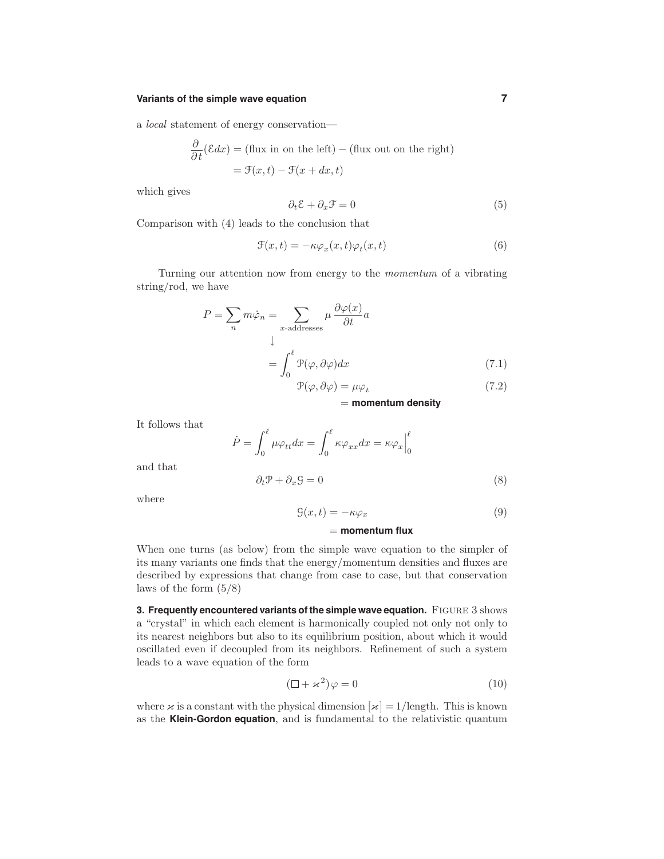#### **Variants of the simple wave equation 7**

a local statement of energy conservation—

$$
\frac{\partial}{\partial t}(\mathcal{E}dx) = (\text{flux in on the left}) - (\text{flux out on the right})
$$

$$
= \mathcal{F}(x, t) - \mathcal{F}(x + dx, t)
$$

which gives

$$
\partial_t \mathcal{E} + \partial_x \mathcal{F} = 0 \tag{5}
$$

Comparison with (4) leads to the conclusion that

$$
\mathcal{F}(x,t) = -\kappa \varphi_x(x,t) \varphi_t(x,t) \tag{6}
$$

Turning our attention now from energy to the momentum of a vibrating string/rod, we have

$$
P = \sum_{n} m\dot{\varphi}_{n} = \sum_{x-\text{addresses}} \mu \frac{\partial \varphi(x)}{\partial t} a
$$

$$
\downarrow
$$

$$
= \int_{0}^{\ell} \mathcal{P}(\varphi, \partial \varphi) dx \tag{7.1}
$$

$$
\mathcal{P}(\varphi, \partial \varphi) = \mu \varphi_t \tag{7.2}
$$

= **momentum density**

It follows that

$$
\dot{P} = \int_0^\ell \mu \varphi_{tt} dx = \int_0^\ell \kappa \varphi_{xx} dx = \kappa \varphi_x \Big|_0^\ell
$$

and that

$$
\partial_t \mathcal{P} + \partial_x \mathcal{G} = 0 \tag{8}
$$

where

$$
\mathcal{G}(x,t) = -\kappa \varphi_x \tag{9}
$$

#### = **momentum flux**

When one turns (as below) from the simple wave equation to the simpler of its many variants one finds that the energy/momentum densities and fluxes are described by expressions that change from case to case, but that conservation laws of the form  $(5/8)$ 

**3. Frequently encountered variants of the simple wave equation.** Figure 3 shows a "crystal" in which each element is harmonically coupled not only not only to its nearest neighbors but also to its equilibrium position, about which it would oscillated even if decoupled from its neighbors. Refinement of such a system leads to a wave equation of the form

$$
(\Box + \varkappa^2)\varphi = 0 \tag{10}
$$

where  $\varkappa$  is a constant with the physical dimension  $[\varkappa]=1/\text{length}$ . This is known as the **Klein-Gordon equation**, and is fundamental to the relativistic quantum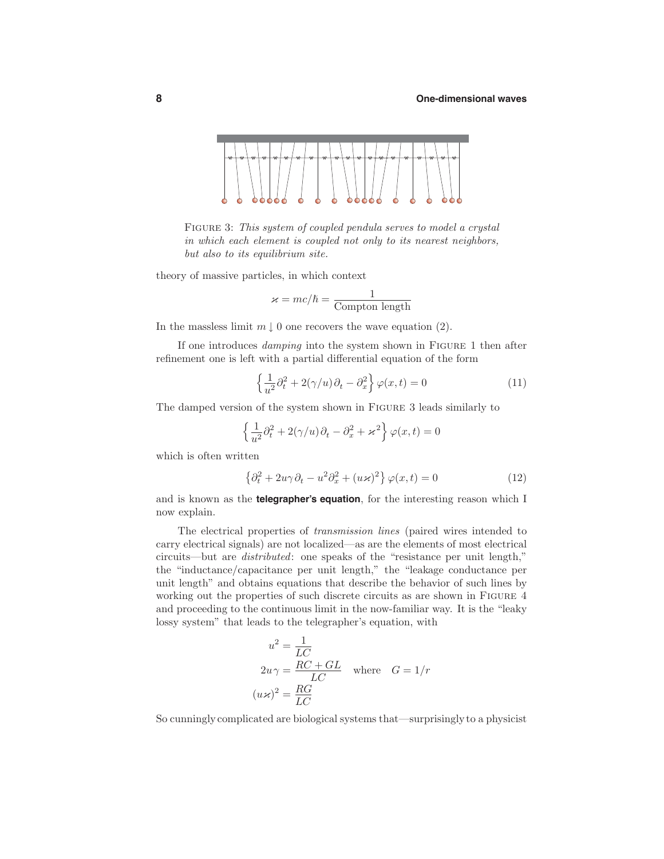

FIGURE 3: This system of coupled pendula serves to model a crystal in which each element is coupled not only to its nearest neighbors, but also to its equilibrium site.

theory of massive particles, in which context

$$
\varkappa = mc/\hbar = \frac{1}{\text{Compton length}}
$$

In the massless limit  $m \downarrow 0$  one recovers the wave equation (2).

If one introduces damping into the system shown in Figure 1 then after refinement one is left with a partial differential equation of the form

$$
\left\{\frac{1}{u^2}\partial_t^2 + 2(\gamma/u)\partial_t - \partial_x^2\right\}\varphi(x,t) = 0\tag{11}
$$

The damped version of the system shown in Figure 3 leads similarly to

$$
\left\{\frac{1}{u^2}\partial_t^2 + 2(\gamma/u)\partial_t - \partial_x^2 + \varkappa^2\right\}\varphi(x,t) = 0
$$

which is often written

$$
\left\{\partial_t^2 + 2u\gamma\partial_t - u^2\partial_x^2 + (u\varkappa)^2\right\}\varphi(x,t) = 0\tag{12}
$$

and is known as the **telegrapher's equation**, for the interesting reason which I now explain.

The electrical properties of transmission lines (paired wires intended to carry electrical signals) are not localized—as are the elements of most electrical circuits—but are distributed: one speaks of the "resistance per unit length," the "inductance/capacitance per unit length," the "leakage conductance per unit length" and obtains equations that describe the behavior of such lines by working out the properties of such discrete circuits as are shown in FIGURE 4 and proceeding to the continuous limit in the now-familiar way. It is the "leaky lossy system" that leads to the telegrapher's equation, with

$$
u^{2} = \frac{1}{LC}
$$
  
 
$$
2u\gamma = \frac{RC + GL}{LC} \text{ where } G = 1/r
$$
  

$$
(u\kappa)^{2} = \frac{RG}{LC}
$$

So cunninglycomplicated are biological systems that—surprisinglyto a physicist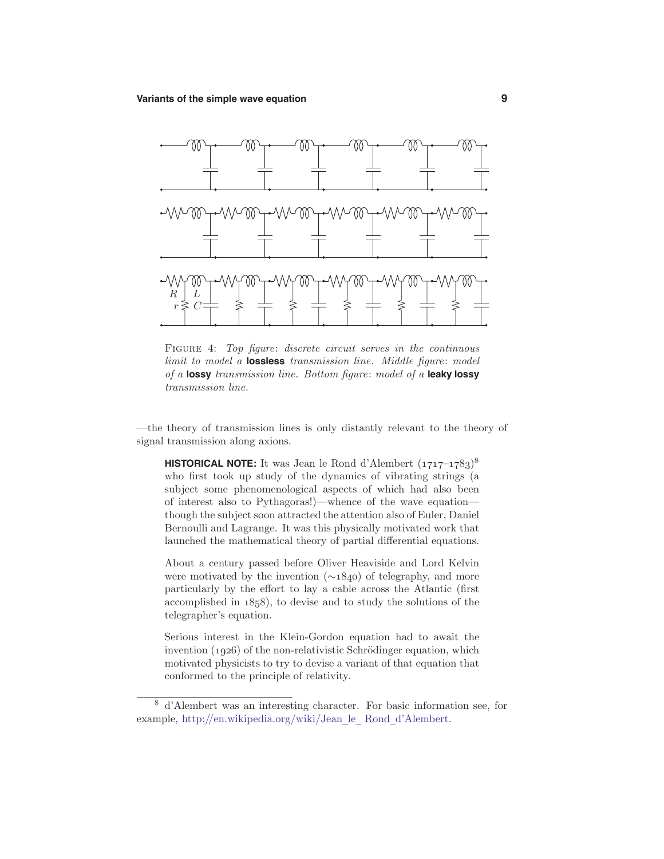

FIGURE 4: Top figure: discrete circuit serves in the continuous limit to model a **lossless** transmission line. Middle figure: model of a **lossy** transmission line. Bottom figure: model of a **leaky lossy** transmission line.

—the theory of transmission lines is only distantly relevant to the theory of signal transmission along axions.

**HISTORICAL NOTE:** It was Jean le Rond d'Alembert (*1717*–*1783*)<sup>8</sup> who first took up study of the dynamics of vibrating strings (a subject some phenomenological aspects of which had also been of interest also to Pythagoras!)—whence of the wave equation though the subject soon attracted the attention also of Euler, Daniel Bernoulli and Lagrange. It was this physically motivated work that launched the mathematical theory of partial differential equations.

About a century passed before Oliver Heaviside and Lord Kelvin were motivated by the invention (∼*1840*) of telegraphy, and more particularly by the effort to lay a cable across the Atlantic (first accomplished in *1858*), to devise and to study the solutions of the telegrapher's equation.

Serious interest in the Klein-Gordon equation had to await the invention (1926) of the non-relativistic Schrödinger equation, which motivated physicists to try to devise a variant of that equation that conformed to the principle of relativity.

<sup>8</sup> d'Alembert was an interesting character. For basic information see, for example, http://en.wikipedia.org/wiki/Jean le Rond d'Alembert.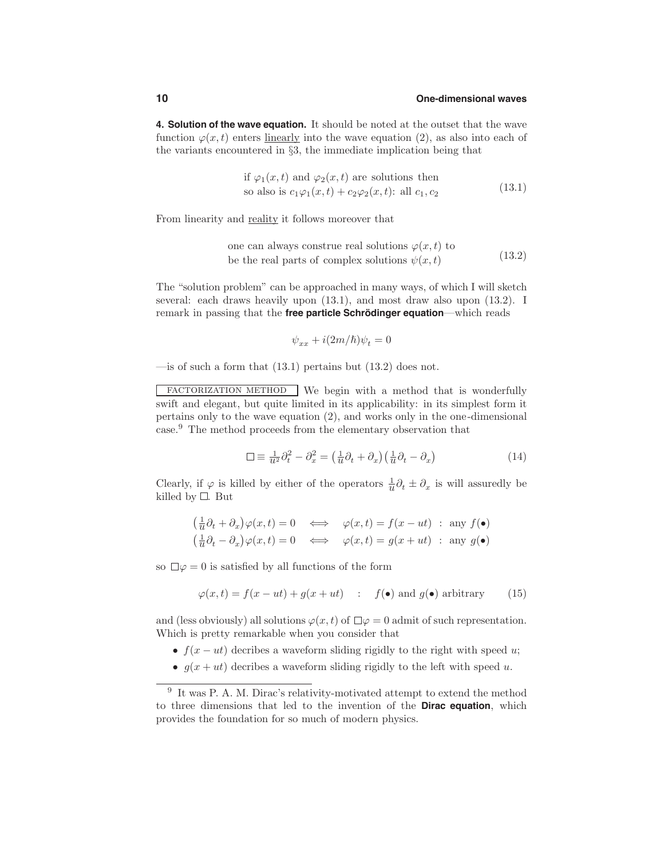**4. Solution of the wave equation.** It should be noted at the outset that the wave function  $\varphi(x,t)$  enters <u>linearly</u> into the wave equation (2), as also into each of the variants encountered in §3, the immediate implication being that

if 
$$
\varphi_1(x, t)
$$
 and  $\varphi_2(x, t)$  are solutions then  
so also is  $c_1 \varphi_1(x, t) + c_2 \varphi_2(x, t)$ : all  $c_1, c_2$  (13.1)

From linearity and reality it follows moreover that

one can always construe real solutions  $\varphi(x, t)$  to be the real parts of complex solutions  $\psi(x, t)$  (13.2)

The "solution problem" can be approached in many ways, of which I will sketch several: each draws heavily upon (13.1), and most draw also upon (13.2). I remark in passing that the **free particle Schrödinger equation**—which reads

$$
\psi_{xx} + i(2m/\hbar)\psi_t = 0
$$

 $\equiv$  is of such a form that (13.1) pertains but (13.2) does not.

FACTORIZATION METHOD We begin with a method that is wonderfully swift and elegant, but quite limited in its applicability: in its simplest form it pertains only to the wave equation (2), and works only in the one-dimensional case.<sup>9</sup> The method proceeds from the elementary observation that

$$
\Box \equiv \frac{1}{u^2} \partial_t^2 - \partial_x^2 = \left(\frac{1}{u} \partial_t + \partial_x\right) \left(\frac{1}{u} \partial_t - \partial_x\right) \tag{14}
$$

Clearly, if  $\varphi$  is killed by either of the operators  $\frac{1}{u}\partial_t \pm \partial_x$  is will assuredly be killed by  $\square$ . But

$$
\left(\frac{1}{u}\partial_t + \partial_x\right)\varphi(x,t) = 0 \iff \varphi(x,t) = f(x - ut) : \text{ any } f(\bullet)
$$
  

$$
\left(\frac{1}{u}\partial_t - \partial_x\right)\varphi(x,t) = 0 \iff \varphi(x,t) = g(x + ut) : \text{ any } g(\bullet)
$$

so  $\Box \varphi = 0$  is satisfied by all functions of the form

$$
\varphi(x,t) = f(x - ut) + g(x + ut) \quad : \quad f(\bullet) \text{ and } g(\bullet) \text{ arbitrary} \tag{15}
$$

and (less obviously) all solutions  $\varphi(x, t)$  of  $\Box \varphi = 0$  admit of such representation. Which is pretty remarkable when you consider that

- $f(x ut)$  decribes a waveform sliding rigidly to the right with speed *u*;
- $g(x + ut)$  decribes a waveform sliding rigidly to the left with speed  $u$ .

 $\frac{9}{9}$  It was P. A. M. Dirac's relativity-motivated attempt to extend the method to three dimensions that led to the invention of the **Dirac equation**, which provides the foundation for so much of modern physics.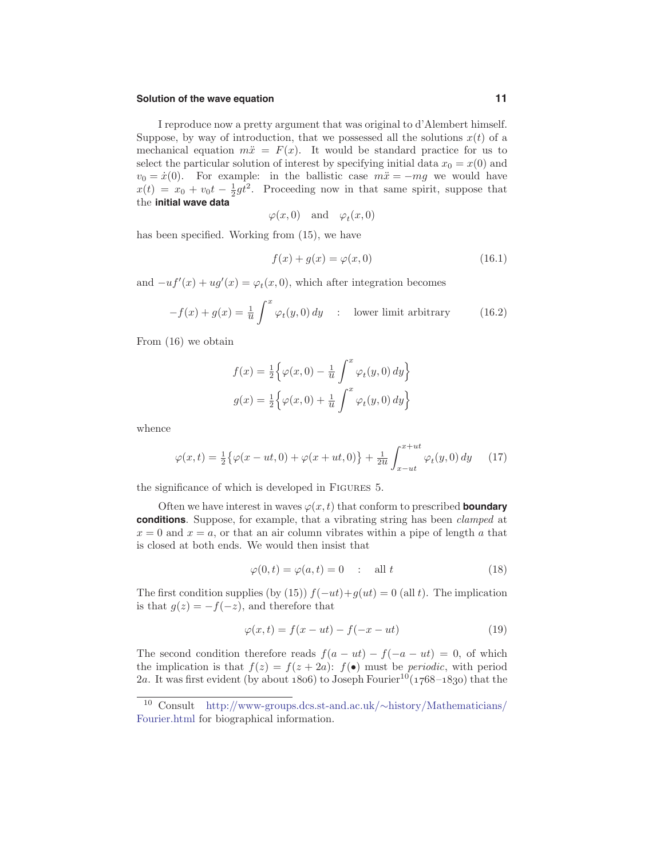#### **Solution of the wave equation 11**

I reproduce now a pretty argument that was original to d'Alembert himself. Suppose, by way of introduction, that we possessed all the solutions  $x(t)$  of a mechanical equation  $m\ddot{x} = F(x)$ . It would be standard practice for us to select the particular solution of interest by specifying initial data  $x_0 = x(0)$  and  $v_0 = \dot{x}(0)$ . For example: in the ballistic case  $m\ddot{x} = -mg$  we would have  $x(t) = x_0 + v_0 t - \frac{1}{2} g t^2$ . Proceeding now in that same spirit, suppose that the **initial wave data**

$$
\varphi(x,0)
$$
 and  $\varphi_t(x,0)$ 

has been specified. Working from (15), we have

$$
f(x) + g(x) = \varphi(x, 0)
$$
\n(16.1)

and  $-u f'(x) + u g'(x) = \varphi_t(x, 0)$ , which after integration becomes

$$
-f(x) + g(x) = \frac{1}{u} \int^x \varphi_t(y,0) \, dy \quad : \quad \text{lower limit arbitrary} \tag{16.2}
$$

From (16) we obtain

$$
f(x) = \frac{1}{2} \Big\{ \varphi(x, 0) - \frac{1}{u} \int^x \varphi_t(y, 0) dy \Big\}
$$

$$
g(x) = \frac{1}{2} \Big\{ \varphi(x, 0) + \frac{1}{u} \int^x \varphi_t(y, 0) dy \Big\}
$$

whence

$$
\varphi(x,t) = \frac{1}{2} \{ \varphi(x - ut, 0) + \varphi(x + ut, 0) \} + \frac{1}{2u} \int_{x - ut}^{x + ut} \varphi_t(y,0) \, dy \tag{17}
$$

the significance of which is developed in Figures 5.

Often we have interest in waves  $\varphi(x, t)$  that conform to prescribed **boundary conditions**. Suppose, for example, that a vibrating string has been clamped at  $x = 0$  and  $x = a$ , or that an air column vibrates within a pipe of length *a* that is closed at both ends. We would then insist that

$$
\varphi(0, t) = \varphi(a, t) = 0 \quad : \quad \text{all } t \tag{18}
$$

The first condition supplies (by (15))  $f(-ut)+g(ut) = 0$  (all *t*). The implication is that  $g(z) = -f(-z)$ , and therefore that

$$
\varphi(x,t) = f(x - ut) - f(-x - ut) \tag{19}
$$

The second condition therefore reads  $f(a - ut) - f(-a - ut) = 0$ , of which the implication is that  $f(z) = f(z + 2a)$ :  $f(\bullet)$  must be *periodic*, with period 2*a*. It was first evident (by about *1806*) to Joseph Fourier<sup>10</sup>(*1768*–*1830*) that the

<sup>10</sup> Consult http://www-groups.dcs.st-and.ac.uk/∼history/Mathematicians/ Fourier.html for biographical information.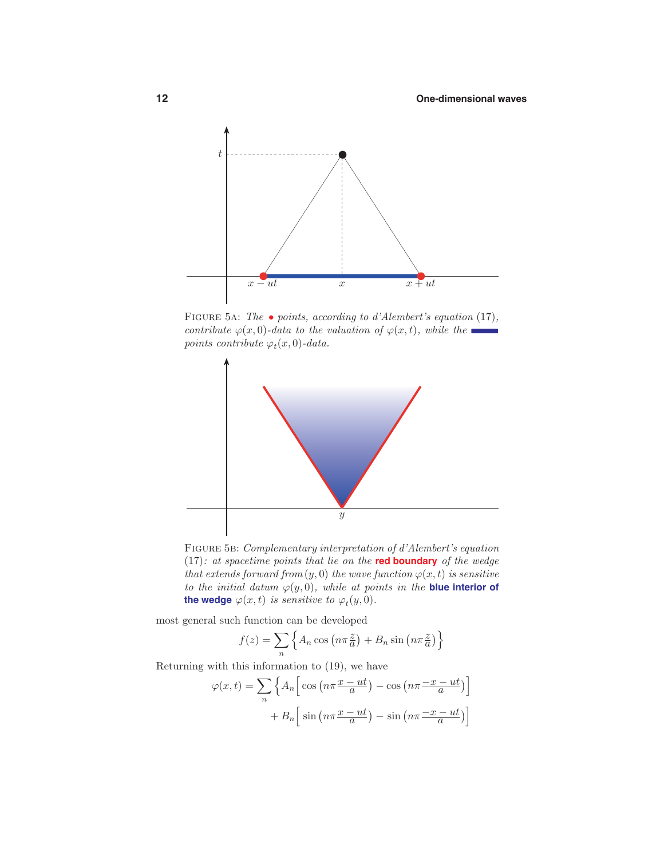

FIGURE 5A: The  $\bullet$  points, according to d'Alembert's equation (17), contribute  $\varphi(x,0)$ -data to the valuation of  $\varphi(x,t)$ , while the points contribute  $\varphi_t(x,0)$ -data.



Figure 5b: Complementary interpretation of d'Alembert's equation (17): at spacetime points that lie on the **red boundary** of the wedge that extends forward from  $(y, 0)$  the wave function  $\varphi(x, t)$  is sensitive to the initial datum  $\varphi(y, 0)$ , while at points in the **blue interior of the wedge**  $\varphi(x, t)$  is sensitive to  $\varphi_t(y, 0)$ .

most general such function can be developed

$$
f(z) = \sum_{n} \left\{ A_n \cos \left( n \pi \frac{z}{a} \right) + B_n \sin \left( n \pi \frac{z}{a} \right) \right\}
$$

Returning with this information to (19), we have

$$
\varphi(x,t) = \sum_{n} \left\{ A_n \left[ \cos \left( n \pi \frac{x - ut}{a} \right) - \cos \left( n \pi \frac{-x - ut}{a} \right) \right] + B_n \left[ \sin \left( n \pi \frac{x - ut}{a} \right) - \sin \left( n \pi \frac{-x - ut}{a} \right) \right] \right\}
$$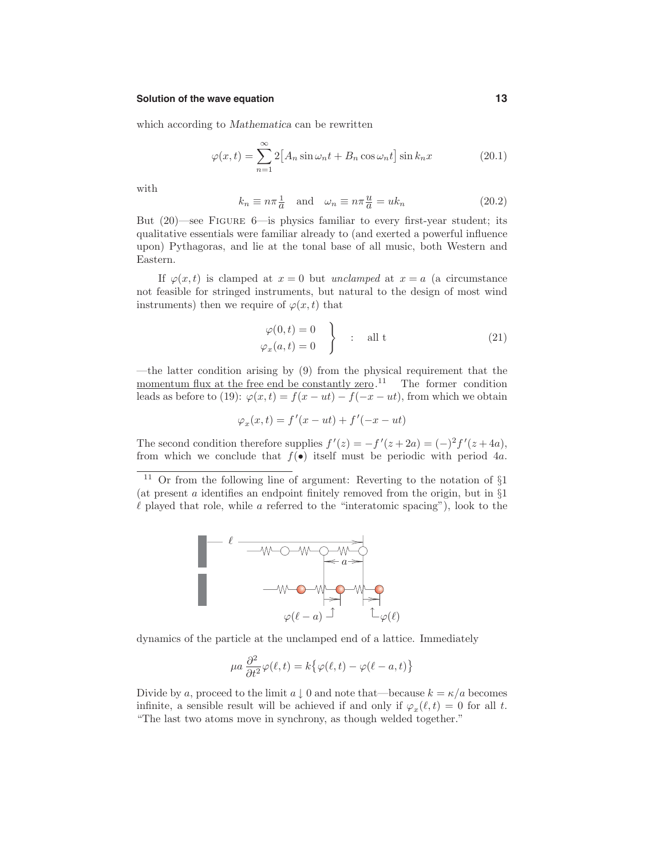#### **Solution of the wave equation 13**

which according to *Mathematica* can be rewritten

$$
\varphi(x,t) = \sum_{n=1}^{\infty} 2[A_n \sin \omega_n t + B_n \cos \omega_n t] \sin k_n x \tag{20.1}
$$

with

$$
k_n \equiv n\pi \frac{1}{a} \quad \text{and} \quad \omega_n \equiv n\pi \frac{u}{a} = uk_n \tag{20.2}
$$

But (20)—see Figure 6—is physics familiar to every first-year student; its qualitative essentials were familiar already to (and exerted a powerful influence upon) Pythagoras, and lie at the tonal base of all music, both Western and Eastern.

If  $\varphi(x, t)$  is clamped at  $x = 0$  but unclamped at  $x = a$  (a circumstance not feasible for stringed instruments, but natural to the design of most wind instruments) then we require of  $\varphi(x, t)$  that

$$
\begin{aligned}\n\varphi(0,t) &= 0 \\
\varphi_x(a,t) &= 0\n\end{aligned}\n\qquad \qquad \text{all t}\n\tag{21}
$$

—the latter condition arising by (9) from the physical requirement that the momentum flux at the free end be constantly zero.<sup>11</sup> The former condition leads as before to (19):  $\varphi(x,t) = f(x - ut) - f(-x - ut)$ , from which we obtain

$$
\varphi_x(x,t) = f'(x - ut) + f'(-x - ut)
$$

The second condition therefore supplies  $f'(z) = -f'(z+2a) = (-)^2 f'(z+4a)$ , from which we conclude that  $f(\bullet)$  itself must be periodic with period 4*a*.

<sup>11</sup> Or from the following line of argument: Reverting to the notation of §1 (at present *a* identifies an endpoint finitely removed from the origin, but in §1 *-* played that role, while *a* referred to the "interatomic spacing"), look to the



dynamics of the particle at the unclamped end of a lattice. Immediately

$$
\mu a \frac{\partial^2}{\partial t^2} \varphi(\ell, t) = k \{ \varphi(\ell, t) - \varphi(\ell - a, t) \}
$$

Divide by *a*, proceed to the limit  $a \downarrow 0$  and note that—because  $k = \kappa/a$  becomes infinite, a sensible result will be achieved if and only if  $\varphi_x(\ell,t) = 0$  for all *t*. "The last two atoms move in synchrony, as though welded together."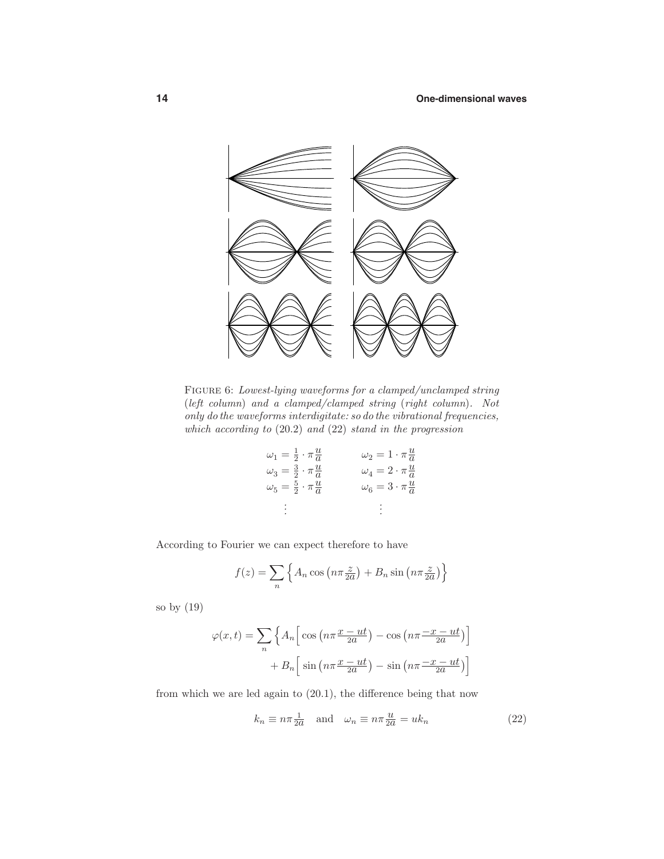

Figure 6: Lowest-lying waveforms for a clamped/unclamped string (left column) and a clamped/clamped string (right column). Not only do the waveforms interdigitate: so do the vibrational frequencies, which according to (20*.*2) and (22) stand in the progression

$$
\begin{array}{llll}\n\omega_1 = \frac{1}{2} \cdot \pi \frac{u}{a} & \omega_2 = 1 \cdot \pi \frac{u}{a} \\
\omega_3 = \frac{3}{2} \cdot \pi \frac{u}{a} & \omega_4 = 2 \cdot \pi \frac{u}{a} \\
\omega_5 = \frac{5}{2} \cdot \pi \frac{u}{a} & \omega_6 = 3 \cdot \pi \frac{u}{a} \\
\vdots & \vdots\n\end{array}
$$

According to Fourier we can expect therefore to have

$$
f(z) = \sum_{n} \left\{ A_n \cos \left( n \pi \frac{z}{2a} \right) + B_n \sin \left( n \pi \frac{z}{2a} \right) \right\}
$$

so by (19)

$$
\varphi(x,t) = \sum_{n} \left\{ A_n \left[ \cos \left( n \pi \frac{x - ut}{2a} \right) - \cos \left( n \pi \frac{-x - ut}{2a} \right) \right] + B_n \left[ \sin \left( n \pi \frac{x - ut}{2a} \right) - \sin \left( n \pi \frac{-x - ut}{2a} \right) \right] \right\}
$$

from which we are led again to (20.1), the difference being that now

$$
k_n \equiv n\pi \frac{1}{2a} \quad \text{and} \quad \omega_n \equiv n\pi \frac{u}{2a} = uk_n \tag{22}
$$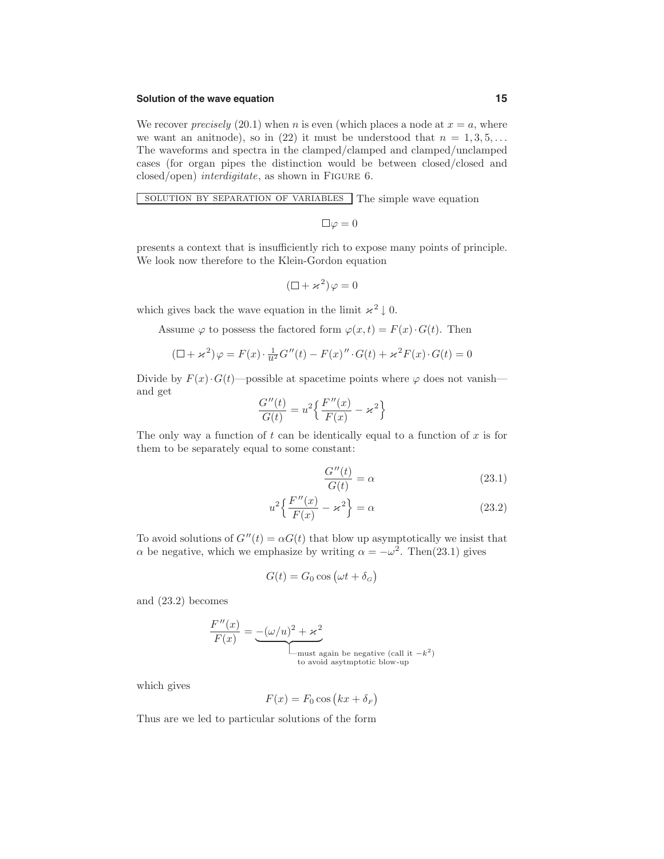### **Solution of the wave equation 15**

We recover *precisely* (20.1) when *n* is even (which places a node at  $x = a$ , where we want an anit ode), so in (22) it must be understood that  $n = 1, 3, 5, \ldots$ The waveforms and spectra in the clamped/clamped and clamped/unclamped cases (for organ pipes the distinction would be between closed/closed and  $closed/open)$  interdigitate, as shown in FIGURE 6.

solution by separation of variables The simple wave equation

 $\Box \varphi = 0$ 

presents a context that is insufficiently rich to expose many points of principle. We look now therefore to the Klein-Gordon equation

$$
(\Box + \varkappa^2)\varphi = 0
$$

which gives back the wave equation in the limit  $\varkappa^2 \downarrow 0$ .

Assume  $\varphi$  to possess the factored form  $\varphi(x,t) = F(x) \cdot G(t)$ . Then

$$
(\Box + \varkappa^2)\varphi = F(x) \cdot \frac{1}{u^2} G''(t) - F(x)'' \cdot G(t) + \varkappa^2 F(x) \cdot G(t) = 0
$$

Divide by  $F(x) \cdot G(t)$ —possible at spacetime points where  $\varphi$  does not vanish and get

$$
\frac{G''(t)}{G(t)} = u^2 \left\{ \frac{F''(x)}{F(x)} - \varkappa^2 \right\}
$$

The only way a function of *t* can be identically equal to a function of *x* is for them to be separately equal to some constant:

$$
\frac{G''(t)}{G(t)} = \alpha \tag{23.1}
$$

$$
u^2 \left\{ \frac{F''(x)}{F(x)} - \varkappa^2 \right\} = \alpha \tag{23.2}
$$

To avoid solutions of  $G''(t) = \alpha G(t)$  that blow up asymptotically we insist that *α* be negative, which we emphasize by writing  $\alpha = -\omega^2$ . Then(23.1) gives

$$
G(t) = G_0 \cos \left(\omega t + \delta_G\right)
$$

and (23.2) becomes

$$
\frac{F''(x)}{F(x)} = \underbrace{-(\omega/u)^2 + \varkappa^2}_{\text{must again be negative (call it } -k^2)}
$$
  
to avoid asymptotic blow-up

which gives

 $F(x) = F_0 \cos(kx + \delta_F)$ 

Thus are we led to particular solutions of the form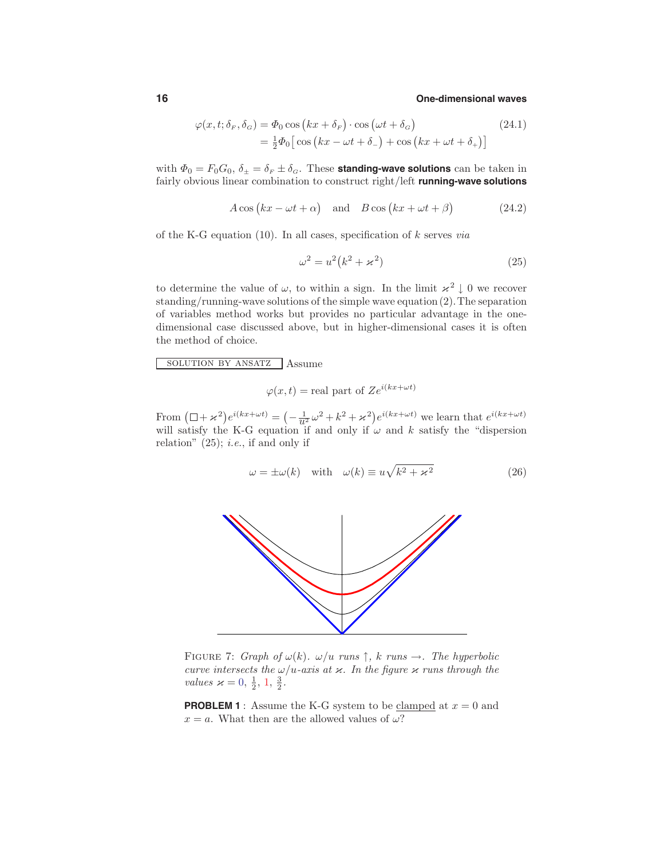$$
\varphi(x, t; \delta_F, \delta_G) = \Phi_0 \cos(kx + \delta_F) \cdot \cos(\omega t + \delta_G)
$$
\n
$$
= \frac{1}{2}\Phi_0 \left[ \cos(kx - \omega t + \delta_-) + \cos(kx + \omega t + \delta_+) \right]
$$
\n(24.1)

with  $\Phi_0 = F_0 G_0$ ,  $\delta_{\pm} = \delta_F \pm \delta_G$ . These **standing-wave solutions** can be taken in fairly obvious linear combination to construct right/left **running-wave solutions**

$$
A\cos\left(kx - \omega t + \alpha\right) \quad \text{and} \quad B\cos\left(kx + \omega t + \beta\right) \tag{24.2}
$$

of the K-G equation (10). In all cases, specification of *k* serves via

$$
\omega^2 = u^2 \left(k^2 + \varkappa^2\right) \tag{25}
$$

to determine the value of  $\omega$ , to within a sign. In the limit  $\varkappa^2 \downarrow 0$  we recover standing/running-wave solutions of the simple wave equation(2).The separation of variables method works but provides no particular advantage in the onedimensional case discussed above, but in higher-dimensional cases it is often the method of choice.

solution by ANSATZ Assume

$$
\varphi(x,t) = \text{real part of } Ze^{i(kx + \omega t)}
$$

From  $(\Box + \varkappa^2) e^{i(kx + \omega t)} = (-\frac{1}{u^2} \omega^2 + k^2 + \varkappa^2) e^{i(kx + \omega t)}$  we learn that  $e^{i(kx + \omega t)}$ will satisfy the K-G equation if and only if  $\omega$  and  $k$  satisfy the "dispersion relation"  $(25)$ ; *i.e.*, if and only if

$$
\omega = \pm \omega(k) \quad \text{with} \quad \omega(k) \equiv u\sqrt{k^2 + \varkappa^2} \tag{26}
$$



FIGURE 7: Graph of  $\omega(k)$ .  $\omega/u$  runs  $\uparrow$ , *k* runs  $\rightarrow$ . The hyperbolic curve intersects the  $\omega/u$ -axis at  $\varkappa$ . In the figure  $\varkappa$  runs through the  $values \; \varkappa = 0, \frac{1}{2}, 1, \frac{3}{2}.$ 

**PROBLEM 1** : Assume the K-G system to be clamped at  $x = 0$  and  $x = a$ . What then are the allowed values of  $\omega$ ?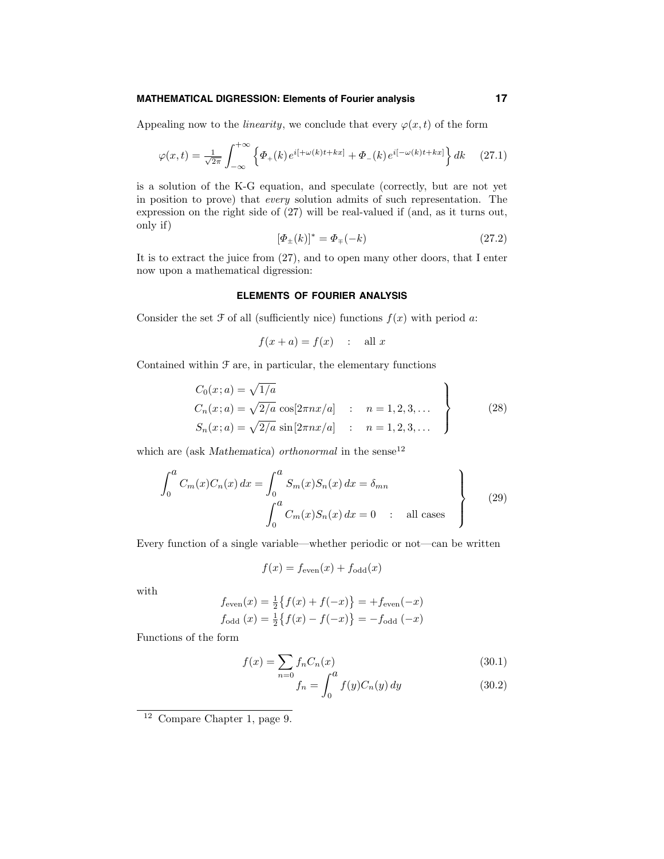#### **MATHEMATICAL DIGRESSION: Elements of Fourier analysis 17**

Appealing now to the *linearity*, we conclude that every  $\varphi(x, t)$  of the form

$$
\varphi(x,t) = \frac{1}{\sqrt{2\pi}} \int_{-\infty}^{+\infty} \left\{ \Phi_+(k) \, e^{i[\pm \omega(k)t + kx]} + \Phi_-(k) \, e^{i[-\omega(k)t + kx]} \right\} dk \tag{27.1}
$$

is a solution of the K-G equation, and speculate (correctly, but are not yet in position to prove) that every solution admits of such representation. The expression on the right side of (27) will be real-valued if (and, as it turns out, only if)

$$
[\Phi_{\pm}(k)]^* = \Phi_{\mp}(-k) \tag{27.2}
$$

It is to extract the juice from (27), and to open many other doors, that I enter now upon a mathematical digression:

### **ELEMENTS OF FOURIER ANALYSIS**

Consider the set  $\mathcal F$  of all (sufficiently nice) functions  $f(x)$  with period  $a$ .

$$
f(x+a) = f(x) \quad : \quad \text{all } x
$$

Contained within  $\mathcal F$  are, in particular, the elementary functions

$$
C_0(x;a) = \sqrt{1/a}
$$
  
\n
$$
C_n(x;a) = \sqrt{2/a} \cos[2\pi nx/a] : n = 1, 2, 3, ...
$$
  
\n
$$
S_n(x;a) = \sqrt{2/a} \sin[2\pi nx/a] : n = 1, 2, 3, ...
$$
\n(28)

which are (ask *Mathematica*) *orthonormal* in the sense<sup>12</sup>

$$
\int_{0}^{a} C_{m}(x)C_{n}(x) dx = \int_{0}^{a} S_{m}(x)S_{n}(x) dx = \delta_{mn}
$$
\n
$$
\int_{0}^{a} C_{m}(x)S_{n}(x) dx = 0 \quad : \quad \text{all cases}
$$
\n(29)

Every function of a single variable—whether periodic or not—can be written

$$
f(x) = f_{\text{even}}(x) + f_{\text{odd}}(x)
$$

with

$$
f_{\text{even}}(x) = \frac{1}{2} \{ f(x) + f(-x) \} = +f_{\text{even}}(-x)
$$
  

$$
f_{\text{odd}}(x) = \frac{1}{2} \{ f(x) - f(-x) \} = -f_{\text{odd}}(-x)
$$

Functions of the form

$$
f(x) = \sum_{n=0}^{n} f_n C_n(x)
$$
 (30.1)

$$
{}^{n-0}f_n = \int_0^\infty f(y)C_n(y) \, dy \tag{30.2}
$$

<sup>12</sup> Compare Chapter 1, page 9.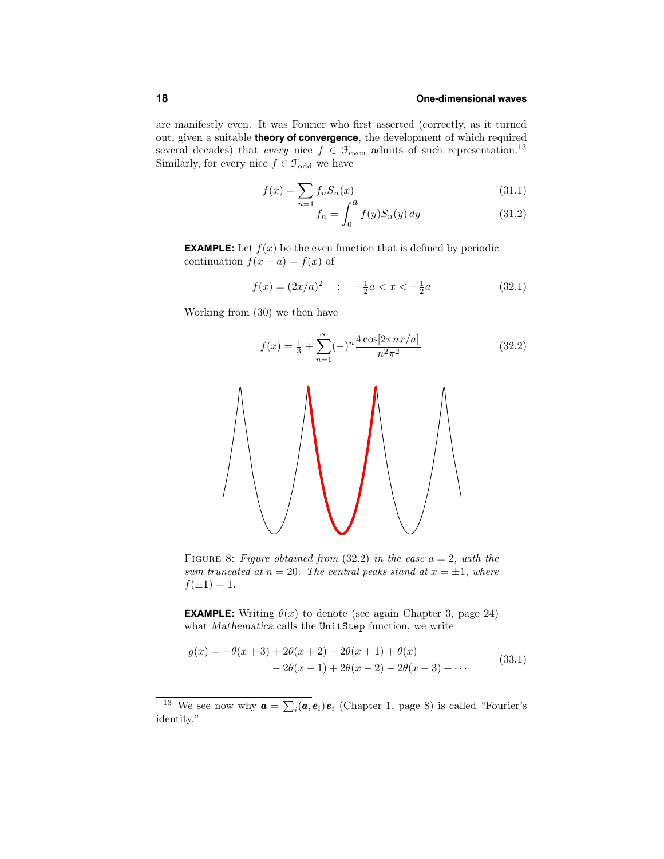are manifestly even. It was Fourier who first asserted (correctly, as it turned out, given a suitable **theory of convergence**, the development of which required several decades) that *every* nice  $f \in \mathcal{F}_{\text{even}}$  admits of such representation.<sup>13</sup> Similarly, for every nice  $f \in \mathcal{F}_{odd}$  we have

$$
f(x) = \sum_{n=1} f_n S_n(x) \tag{31.1}
$$

$$
\overline{u=1} f_n = \int_0^a f(y) S_n(y) \, dy \tag{31.2}
$$

**EXAMPLE:** Let  $f(x)$  be the even function that is defined by periodic continuation  $f(x + a) = f(x)$  of

$$
f(x) = (2x/a)^2 \quad : \quad -\frac{1}{2}a < x < +\frac{1}{2}a \tag{32.1}
$$

Working from (30) we then have



FIGURE 8: Figure obtained from  $(32.2)$  in the case  $a = 2$ , with the sum truncated at  $n = 20$ . The central peaks stand at  $x = \pm 1$ , where  $f(\pm 1) = 1.$ 

**EXAMPLE:** Writing  $\theta(x)$  to denote (see again Chapter 3, page 24) what *Mathematica* calls the UnitStep function, we write

$$
g(x) = -\theta(x+3) + 2\theta(x+2) - 2\theta(x+1) + \theta(x)
$$
  
- 2\theta(x-1) + 2\theta(x-2) - 2\theta(x-3) + ... (33.1)

<sup>&</sup>lt;sup>13</sup> We see now why  $\boldsymbol{a} = \sum_i (\boldsymbol{a}, \boldsymbol{e}_i) \boldsymbol{e}_i$  (Chapter 1, page 8) is called "Fourier's identity."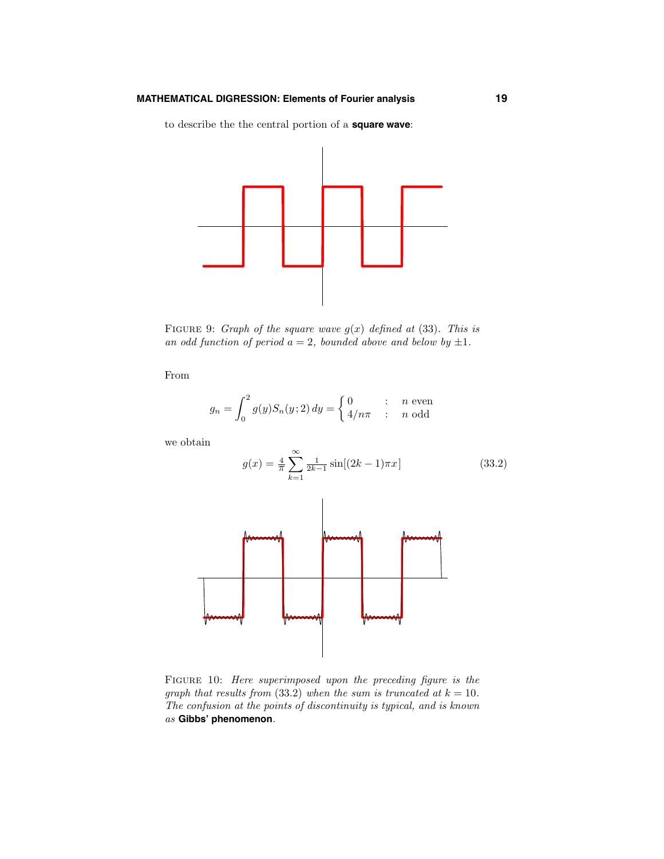to describe the the central portion of a **square wave**:



FIGURE 9: Graph of the square wave  $g(x)$  defined at (33). This is an odd function of period  $a = 2$ , bounded above and below by  $\pm 1$ .

From

$$
g_n = \int_0^2 g(y) S_n(y; 2) dy = \begin{cases} 0 & \text{: } n \text{ even} \\ 4/n\pi & \text{: } n \text{ odd} \end{cases}
$$

we obtain

$$
g(x) = \frac{4}{\pi} \sum_{k=1}^{\infty} \frac{1}{2k-1} \sin[(2k-1)\pi x]
$$
(33.2)

Figure 10: Here superimposed upon the preceding figure is the graph that results from  $(33.2)$  when the sum is truncated at  $k = 10$ . The confusion at the points of discontinuity is typical, and is known as **Gibbs' phenomenon**.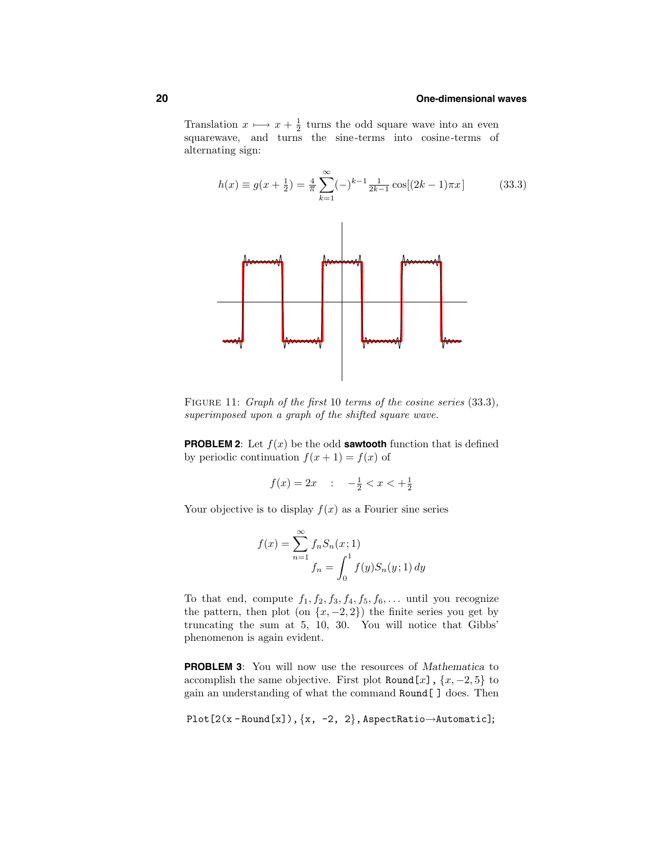Translation  $x \mapsto x + \frac{1}{2}$  turns the odd square wave into an even squarewave, and turns the sine-terms into cosine-terms of alternating sign:



Figure 11: Graph of the first 10 terms of the cosine series (33*.*3), superimposed upon a graph of the shifted square wave.

**PROBLEM 2:** Let  $f(x)$  be the odd **sawtooth** function that is defined by periodic continuation  $f(x + 1) = f(x)$  of

$$
f(x) = 2x \quad : \quad -\frac{1}{2} < x < +\frac{1}{2}
$$

Your objective is to display  $f(x)$  as a Fourier sine series

$$
f(x) = \sum_{n=1}^{\infty} f_n S_n(x; 1)
$$
  

$$
f_n = \int_0^1 f(y) S_n(y; 1) dy
$$

To that end, compute  $f_1, f_2, f_3, f_4, f_5, f_6, \ldots$  until you recognize the pattern, then plot (on  $\{x, -2, 2\}$ ) the finite series you get by truncating the sum at 5, 10, 30. You will notice that Gibbs' phenomenon is again evident.

**PROBLEM 3**: You will now use the resources of *Mathematica* to accomplish the same objective. First plot Round[ $x$ ],  $\{x, -2, 5\}$  to gain an understanding of what the command Round[ ] does. Then

$$
\text{Plot} \left[2(x - \text{Round}[x]), \{x, -2, 2\}, \text{AspectRatio} \rightarrow \text{Automatic}\right];
$$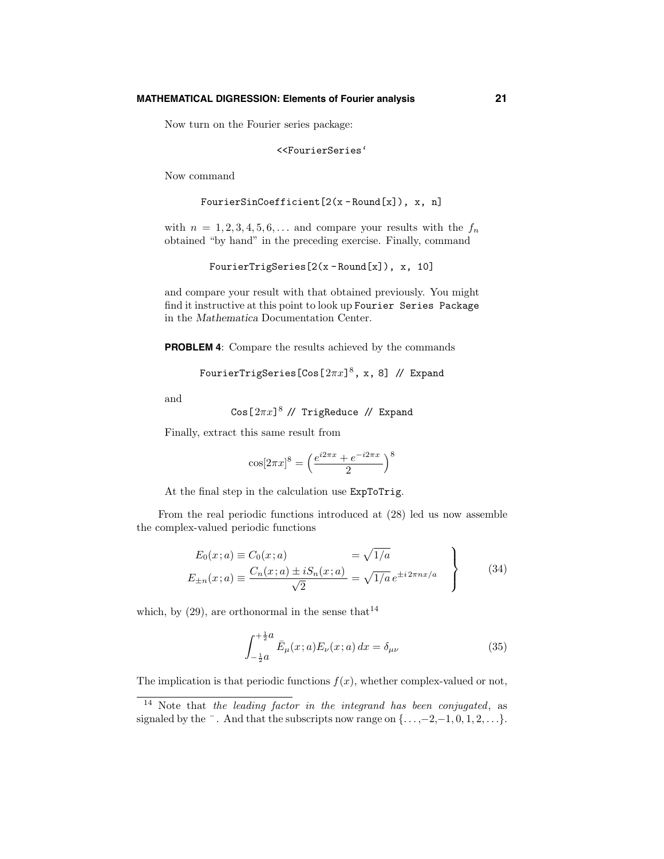#### **MATHEMATICAL DIGRESSION: Elements of Fourier analysis 21**

Now turn on the Fourier series package:

```
<<FourierSeries'
```
Now command

```
FourierSinCoefficient[2(x-Round[x]), x, n]
```
with  $n = 1, 2, 3, 4, 5, 6, \ldots$  and compare your results with the  $f_n$ obtained "by hand" in the preceding exercise. Finally, command

```
FourierTrigSeries[2(x - Round[x]), x, 10]
```
and compare your result with that obtained previously. You might find it instructive at this point to look up Fourier Series Package in the *Mathematica* Documentation Center.

**PROBLEM 4**: Compare the results achieved by the commands

FourierTrigSeries[Cos[2*πx*]<sup>8</sup>, x, 8] // Expand

and

$$
\texttt{Cos[}2\pi x\texttt{]}^8 \text{ // TrigReduce } \textit{ // Expand}
$$

Finally, extract this same result from

$$
\cos[2\pi x]^8 = \left(\frac{e^{i2\pi x} + e^{-i2\pi x}}{2}\right)^8
$$

At the final step in the calculation use ExpToTrig.

From the real periodic functions introduced at (28) led us now assemble the complex-valued periodic functions

$$
E_0(x; a) \equiv C_0(x; a) = \sqrt{1/a}
$$
  
\n
$$
E_{\pm n}(x; a) \equiv \frac{C_n(x; a) \pm i S_n(x; a)}{\sqrt{2}} = \sqrt{1/a} e^{\pm i 2\pi n x/a}
$$
 (34)

which, by  $(29)$ , are orthonormal in the sense that  $14$ 

$$
\int_{-\frac{1}{2}a}^{\frac{1}{2}a} \bar{E}_{\mu}(x;a) E_{\nu}(x;a) dx = \delta_{\mu\nu}
$$
 (35)

The implication is that periodic functions  $f(x)$ , whether complex-valued or not,

<sup>&</sup>lt;sup>14</sup> Note that the leading factor in the integrand has been conjugated, as signaled by the  $\bar{\ }$ . And that the subscripts now range on  $\{\ldots, -2, -1, 0, 1, 2, \ldots\}$ .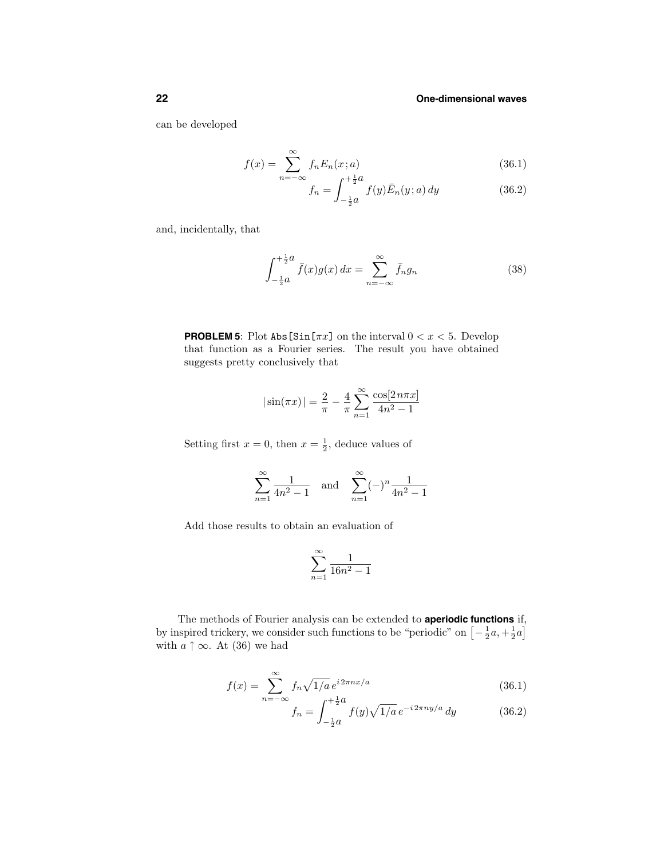can be developed

$$
f(x) = \sum_{n = -\infty}^{\infty} f_n E_n(x; a)
$$
 (36.1)

$$
=-\infty f_n = \int_{-\frac{1}{2}a}^{\frac{1}{2}a} f(y)\bar{E}_n(y; a) dy
$$
 (36.2)

and, incidentally, that

$$
\int_{-\frac{1}{2}a}^{\frac{1}{2}a} \bar{f}(x)g(x) dx = \sum_{n=-\infty}^{\infty} \bar{f}_n g_n
$$
 (38)

**PROBLEM 5:** Plot Abs  $[\text{Sin}[\pi x]$  on the interval  $0 < x < 5$ . Develop that function as a Fourier series. The result you have obtained suggests pretty conclusively that

$$
|\sin(\pi x)| = \frac{2}{\pi} - \frac{4}{\pi} \sum_{n=1}^{\infty} \frac{\cos[2n\pi x]}{4n^2 - 1}
$$

Setting first  $x = 0$ , then  $x = \frac{1}{2}$ , deduce values of

$$
\sum_{n=1}^{\infty} \frac{1}{4n^2 - 1}
$$
 and 
$$
\sum_{n=1}^{\infty} (-)^n \frac{1}{4n^2 - 1}
$$

Add those results to obtain an evaluation of

$$
\sum_{n=1}^{\infty} \frac{1}{16n^2 - 1}
$$

The methods of Fourier analysis can be extended to **aperiodic functions** if, by inspired trickery, we consider such functions to be "periodic" on  $\left[-\frac{1}{2}a, +\frac{1}{2}a\right]$ with  $a \uparrow \infty$ . At (36) we had

$$
f(x) = \sum_{n = -\infty}^{\infty} f_n \sqrt{1/a} \, e^{i 2\pi n x/a} \tag{36.1}
$$

$$
\int_{-\infty}^{\infty} f_n = \int_{-\frac{1}{2}a}^{\frac{1}{2}a} f(y) \sqrt{1/a} e^{-i 2\pi n y/a} dy \qquad (36.2)
$$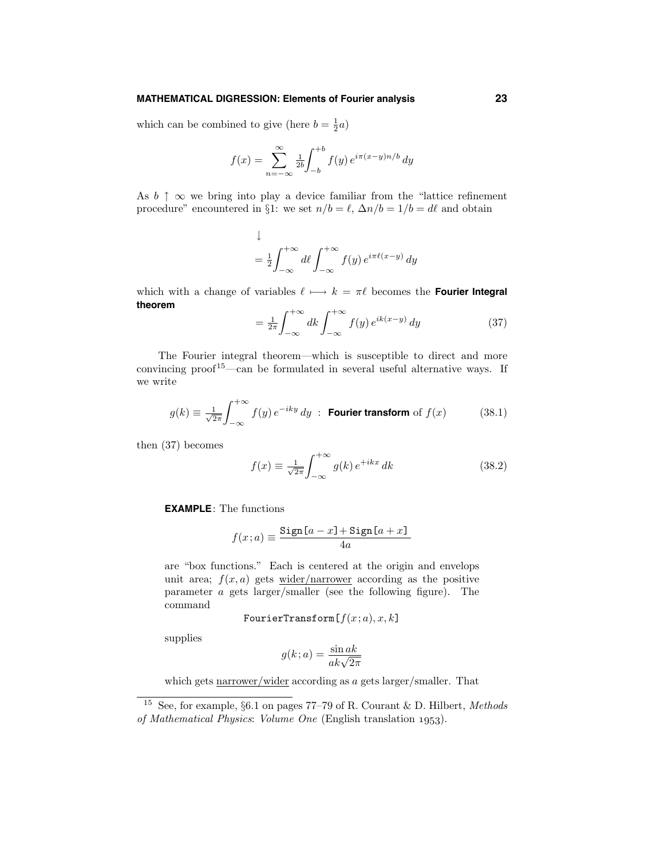#### **MATHEMATICAL DIGRESSION: Elements of Fourier analysis 23**

which can be combined to give (here  $b = \frac{1}{2}a$ )

$$
f(x) = \sum_{n = -\infty}^{\infty} \frac{1}{2b} \int_{-b}^{+b} f(y) e^{i\pi(x - y)n/b} dy
$$

As  $b \uparrow \infty$  we bring into play a device familiar from the "lattice refinement" procedure" encountered in §1: we set  $n/b = \ell$ ,  $\Delta n/b = 1/b = d\ell$  and obtain

$$
\downarrow
$$
\n
$$
= \frac{1}{2} \int_{-\infty}^{+\infty} d\ell \int_{-\infty}^{+\infty} f(y) e^{i\pi \ell (x-y)} dy
$$

which with a change of variables  $\ell \mapsto k = \pi \ell$  becomes the **Fourier Integral theorem** <sup>+</sup><sup>∞</sup>

$$
=\frac{1}{2\pi}\int_{-\infty}^{+\infty}dk\int_{-\infty}^{+\infty}f(y)\,e^{ik(x-y)}\,dy\tag{37}
$$

The Fourier integral theorem—which is susceptible to direct and more convincing proof<sup>15</sup>—can be formulated in several useful alternative ways. If we write

$$
g(k) \equiv \frac{1}{\sqrt{2\pi}} \int_{-\infty}^{+\infty} f(y) e^{-iky} dy \; : \; \text{Fourier transform of } f(x) \tag{38.1}
$$

then (37) becomes

$$
f(x) \equiv \frac{1}{\sqrt{2\pi}} \int_{-\infty}^{+\infty} g(k) e^{+ikx} dk
$$
 (38.2)

# **EXAMPLE**: The functions

$$
f(x;a) \equiv \frac{\text{Sign}[a-x] + \text{Sign}[a+x]}{4a}
$$

are "box functions." Each is centered at the origin and envelops unit area;  $f(x, a)$  gets wider/narrower according as the positive parameter *a* gets larger/smaller (see the following figure). The command

FourierTransform $[f(x; a), x, k]$ 

supplies

$$
g(k; a) = \frac{\sin ak}{ak\sqrt{2\pi}}
$$

which gets narrower/wider according as *a* gets larger/smaller. That

<sup>&</sup>lt;sup>15</sup> See, for example,  $\S6.1$  on pages 77–79 of R. Courant & D. Hilbert, Methods of Mathematical Physics: Volume One (English translation *1953*).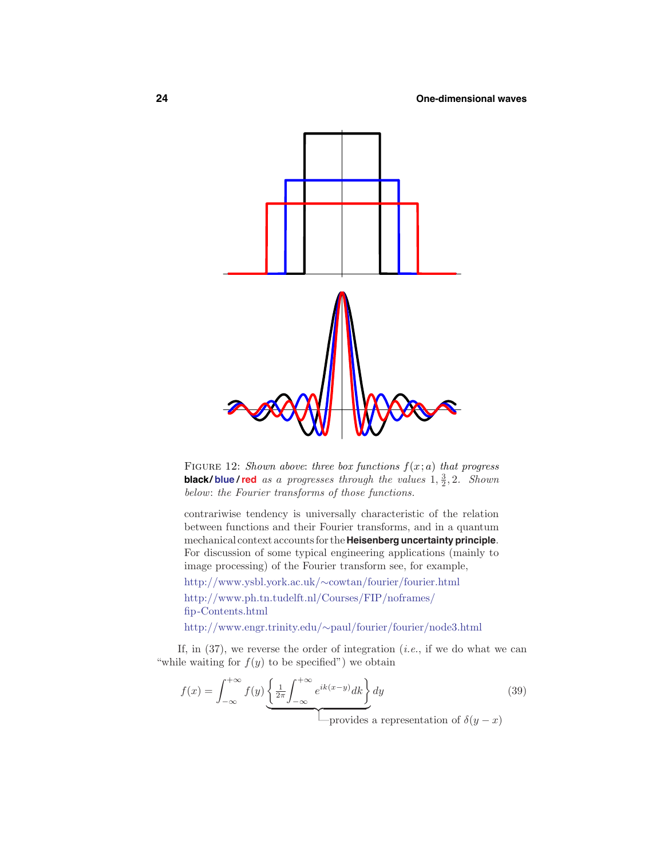

FIGURE 12: Shown above: three box functions  $f(x; a)$  that progress **black/blue/red** as a progresses through the values  $1, \frac{3}{2}, 2$ . Shown below: the Fourier transforms of those functions.

contrariwise tendency is universally characteristic of the relation between functions and their Fourier transforms, and in a quantum mechanical context accounts for the **Heisenberg uncertainty principle**. For discussion of some typical engineering applications (mainly to image processing) of the Fourier transform see, for example,

http://www.ysbl.york.ac.uk/∼cowtan/fourier/fourier.html http://www.ph.tn.tudelft.nl/Courses/FIP/noframes/ fip-Contents.html

http://www.engr.trinity.edu/∼paul/fourier/fourier/node3.html

If, in  $(37)$ , we reverse the order of integration (*i.e.*, if we do what we can "while waiting for  $f(y)$  to be specified") we obtain

$$
f(x) = \int_{-\infty}^{+\infty} f(y) \underbrace{\left\{ \frac{1}{2\pi} \int_{-\infty}^{+\infty} e^{ik(x-y)} dk \right\}}_{-\text{provides a representation of } \delta(y-x)
$$
 (39)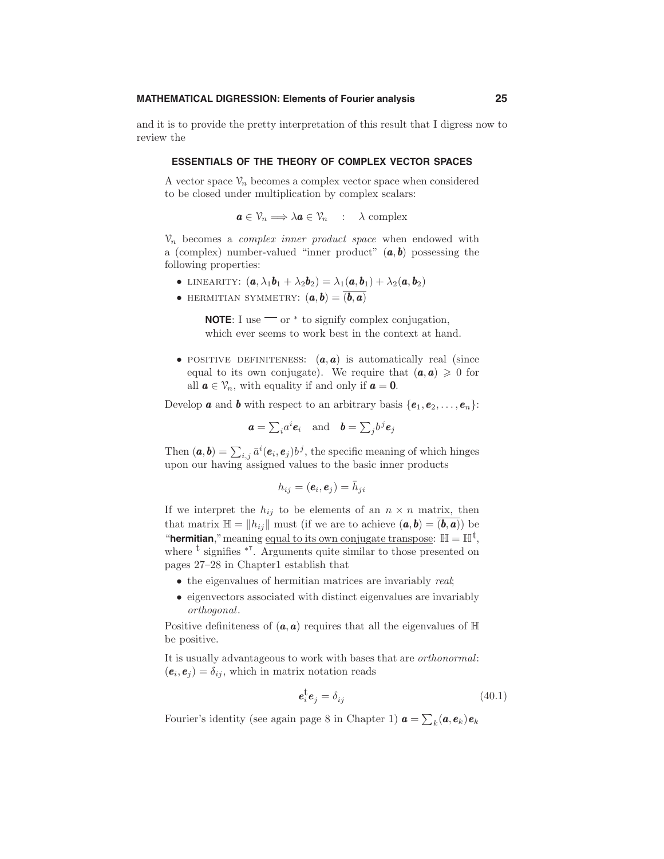#### **MATHEMATICAL DIGRESSION: Elements of Fourier analysis 25**

and it is to provide the pretty interpretation of this result that I digress now to review the

### **ESSENTIALS OF THE THEORY OF COMPLEX VECTOR SPACES**

A vector space  $V_n$  becomes a complex vector space when considered to be closed under multiplication by complex scalars:

 $a \in V_n \Longrightarrow \lambda a \in V_n$  :  $\lambda$  complex

 $V_n$  becomes a *complex inner product space* when endowed with a (complex) number-valued "inner product" (*a,b*) possessing the following properties:

- LINEARITY:  $(a, \lambda_1 b_1 + \lambda_2 b_2) = \lambda_1(a, b_1) + \lambda_2(a, b_2)$
- HERMITIAN SYMMETRY:  $(a, b) = (b, a)$

**NOTE**: I use <sup>−</sup> or <sup>∗</sup> to signify complex conjugation, which ever seems to work best in the context at hand.

• POSITIVE DEFINITENESS:  $(a, a)$  is automatically real (since equal to its own conjugate). We require that  $(a, a) \geq 0$  for all  $\mathbf{a} \in \mathcal{V}_n$ , with equality if and only if  $\mathbf{a} = \mathbf{0}$ .

Develop **a** and **b** with respect to an arbitrary basis  $\{e_1, e_2, \ldots, e_n\}$ :

$$
\mathbf{a} = \sum_i a^i \mathbf{e}_i
$$
 and  $\mathbf{b} = \sum_j b^j \mathbf{e}_j$ 

Then  $(a, b) = \sum_{i,j} \bar{a}^i(e_i, e_j) b^j$ , the specific meaning of which hinges upon our having assigned values to the basic inner products

$$
h_{ij} = (\bm{e}_i, \bm{e}_j) = \bar{h}_{ji}
$$

If we interpret the  $h_{ij}$  to be elements of an  $n \times n$  matrix, then that matrix  $\mathbb{H} = ||h_{ij}||$  must (if we are to achieve  $(a, b) = (b, a)$ ) be "**hermitian**," meaning equal to its own conjugate transpose:  $H = H^t$ , where <sup>t</sup> signifies <sup>\*™</sup>. Arguments quite similar to those presented on pages 27–28 in Chapter1 establish that

- the eigenvalues of hermitian matrices are invariably real;
- eigenvectors associated with distinct eigenvalues are invariably orthogonal.

Positive definiteness of  $(a, a)$  requires that all the eigenvalues of  $\mathbb H$ be positive.

It is usually advantageous to work with bases that are orthonormal:  $(e_i, e_j) = \delta_{ij}$ , which in matrix notation reads

$$
\boldsymbol{e}_i^{\mathrm{t}} \boldsymbol{e}_j = \delta_{ij} \tag{40.1}
$$

Fourier's identity (see again page 8 in Chapter 1)  $\mathbf{a} = \sum_{k}(\mathbf{a}, \mathbf{e}_k)\mathbf{e}_k$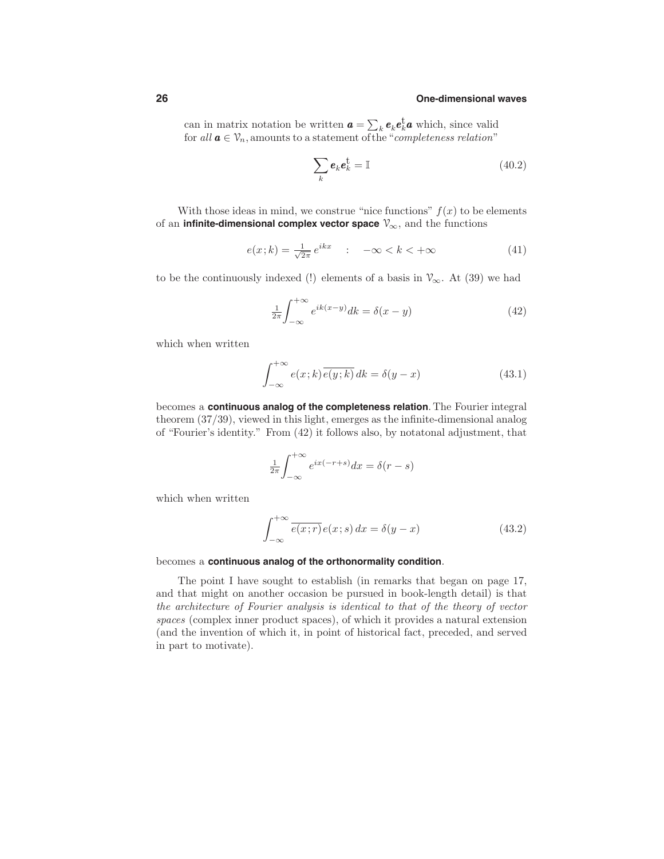can in matrix notation be written  $\boldsymbol{a} = \sum_{k} e_{k} e_{k}^{\dagger} \boldsymbol{a}$  which, since valid for all  $a \in V_n$ , amounts to a statement of the "*completeness relation*"

$$
\sum_{k} \boldsymbol{e}_{k} \boldsymbol{e}_{k}^{\mathrm{t}} = \mathbb{I} \tag{40.2}
$$

With those ideas in mind, we construe "nice functions"  $f(x)$  to be elements of an **infinite-dimensional complex vector space** V∞, and the functions

$$
e(x;k) = \frac{1}{\sqrt{2\pi}} e^{ikx} \qquad : \quad -\infty < k < +\infty \tag{41}
$$

to be the continuously indexed (!) elements of a basis in  $\mathcal{V}_{\infty}$ . At (39) we had

$$
\frac{1}{2\pi} \int_{-\infty}^{+\infty} e^{ik(x-y)} dk = \delta(x-y)
$$
 (42)

which when written

$$
\int_{-\infty}^{+\infty} e(x;k)\overline{e(y;k)}\,dk = \delta(y-x) \tag{43.1}
$$

becomes a **continuous analog of the completeness relation**.The Fourier integral theorem (37/39), viewed in this light, emerges as the infinite-dimensional analog of "Fourier's identity." From (42) it follows also, by notatonal adjustment, that

$$
\frac{1}{2\pi} \int_{-\infty}^{+\infty} e^{ix(-r+s)} dx = \delta(r-s)
$$

which when written

$$
\int_{-\infty}^{+\infty} \overline{e(x;r)} e(x;s) dx = \delta(y-x)
$$
\n(43.2)

#### becomes a **continuous analog of the orthonormality condition**.

The point I have sought to establish (in remarks that began on page 17, and that might on another occasion be pursued in book-length detail) is that the architecture of Fourier analysis is identical to that of the theory of vector spaces (complex inner product spaces), of which it provides a natural extension (and the invention of which it, in point of historical fact, preceded, and served in part to motivate).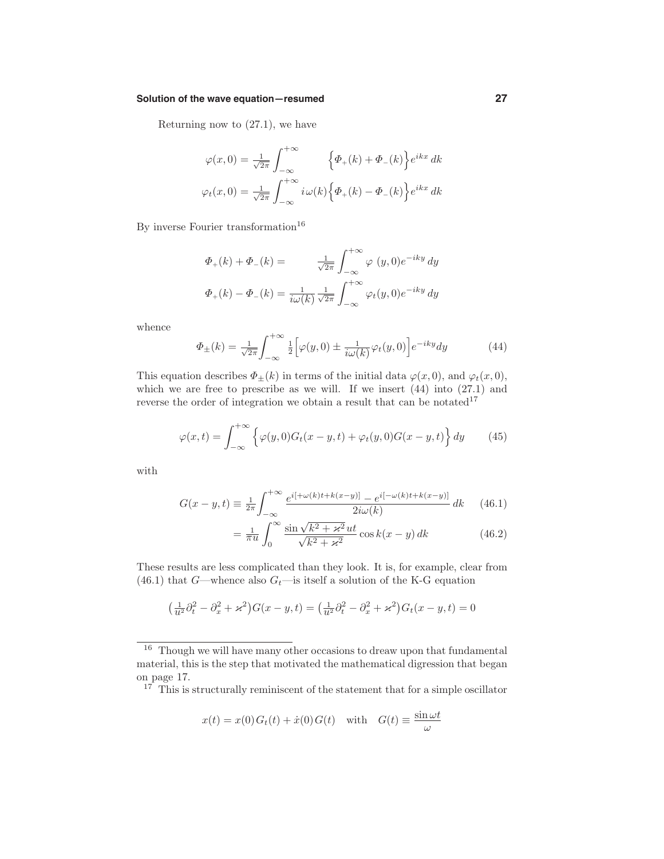#### **Solution of the wave equation—resumed 27**

Returning now to (27.1), we have

$$
\varphi(x,0) = \frac{1}{\sqrt{2\pi}} \int_{-\infty}^{+\infty} \left\{ \Phi_+(k) + \Phi_-(k) \right\} e^{ikx} dk
$$

$$
\varphi_t(x,0) = \frac{1}{\sqrt{2\pi}} \int_{-\infty}^{+\infty} i\omega(k) \left\{ \Phi_+(k) - \Phi_-(k) \right\} e^{ikx} dk
$$

By inverse Fourier transformation $16$ 

$$
\Phi_{+}(k) + \Phi_{-}(k) = \frac{1}{\sqrt{2\pi}} \int_{-\infty}^{+\infty} \varphi(y,0) e^{-iky} dy
$$

$$
\Phi_{+}(k) - \Phi_{-}(k) = \frac{1}{i\omega(k)} \frac{1}{\sqrt{2\pi}} \int_{-\infty}^{+\infty} \varphi_{t}(y,0) e^{-iky} dy
$$

whence

$$
\Phi_{\pm}(k) = \frac{1}{\sqrt{2\pi}} \int_{-\infty}^{+\infty} \frac{1}{2} \Big[ \varphi(y,0) \pm \frac{1}{i\omega(k)} \varphi_t(y,0) \Big] e^{-iky} dy \tag{44}
$$

This equation describes  $\Phi_{\pm}(k)$  in terms of the initial data  $\varphi(x,0)$ , and  $\varphi_t(x,0)$ , which we are free to prescribe as we will. If we insert  $(44)$  into  $(27.1)$  and reverse the order of integration we obtain a result that can be notated<sup>17</sup>

$$
\varphi(x,t) = \int_{-\infty}^{+\infty} \left\{ \varphi(y,0)G_t(x-y,t) + \varphi_t(y,0)G(x-y,t) \right\} dy \tag{45}
$$

with

$$
G(x - y, t) \equiv \frac{1}{2\pi} \int_{-\infty}^{+\infty} \frac{e^{i[+\omega(k)t + k(x - y)]} - e^{i[-\omega(k)t + k(x - y)]}}{2i\omega(k)} dk \qquad (46.1)
$$

$$
= \frac{1}{\pi u} \int_0^\infty \frac{\sin\sqrt{k^2 + \varkappa^2} ut}{\sqrt{k^2 + \varkappa^2}} \cos k(x - y) dk \qquad (46.2)
$$

These results are less complicated than they look. It is, for example, clear from (46.1) that *G*—whence also *G*<sub>*t*</sub>—is itself a solution of the K-G equation

$$
\left(\frac{1}{u^2}\partial_t^2 - \partial_x^2 + \varkappa^2\right)G(x - y, t) = \left(\frac{1}{u^2}\partial_t^2 - \partial_x^2 + \varkappa^2\right)G_t(x - y, t) = 0
$$

$$
x(t) = x(0)G_t(t) + \dot{x}(0)G(t) \text{ with } G(t) \equiv \frac{\sin \omega t}{\omega}
$$

<sup>&</sup>lt;sup>16</sup> Though we will have many other occasions to dreaw upon that fundamental material, this is the step that motivated the mathematical digression that began on page 17.

 $17$  This is structurally reminiscent of the statement that for a simple oscillator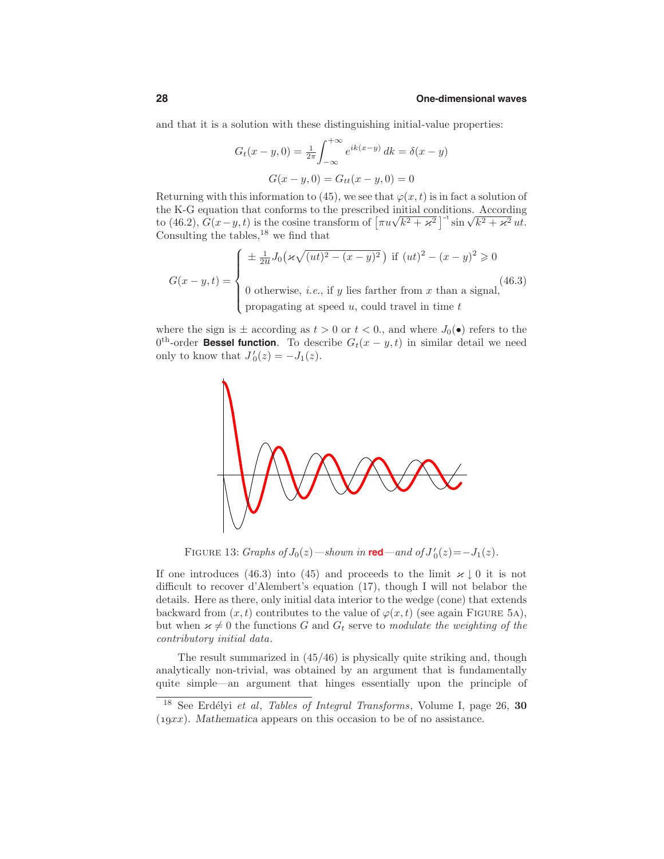and that it is a solution with these distinguishing initial-value properties:

$$
G_t(x - y, 0) = \frac{1}{2\pi} \int_{-\infty}^{+\infty} e^{ik(x - y)} dk = \delta(x - y)
$$

$$
G(x - y, 0) = G_{tt}(x - y, 0) = 0
$$

Returning with this information to (45), we see that  $\varphi(x, t)$  is in fact a solution of the K-G equation that conforms to the prescribed initial conditions. According the K-G equation that conforms to the prescribed initial conditions. According<br>to (46.2),  $G(x - y, t)$  is the cosine transform of  $\left[\pi u \sqrt{k^2 + x^2}\right]^{-1} \sin \sqrt{k^2 + x^2} ut$ . Consulting the tables,  $^{18}$  we find that

$$
G(x - y, t) = \begin{cases} \pm \frac{1}{2u} J_0(\varkappa \sqrt{(ut)^2 - (x - y)^2}) & \text{if } (ut)^2 - (x - y)^2 \ge 0 \\ 0 & \text{otherwise, } i.e., \text{if } y \text{ lies farther from } x \text{ than a signal,} \end{cases} (46.3)
$$
propagating at speed  $u$ , could travel in time  $t$ 

where the sign is  $\pm$  according as  $t > 0$  or  $t < 0$ ., and where  $J_0(\bullet)$  refers to the 0<sup>th</sup>-order **Bessel function**. To describe  $G_t(x - y, t)$  in similar detail we need only to know that  $J'_0(z) = -J_1(z)$ .



FIGURE 13: *Graphs of*  $J_0(z)$ —shown in **red**—and of  $J'_0(z)$  =  $-J_1(z)$ .

If one introduces (46.3) into (45) and proceeds to the limit  $\varkappa \downarrow 0$  it is not difficult to recover d'Alembert's equation (17), though I will not belabor the details. Here as there, only initial data interior to the wedge (cone) that extends backward from  $(x, t)$  contributes to the value of  $\varphi(x, t)$  (see again FIGURE 5A), but when  $\varkappa \neq 0$  the functions *G* and  $G_t$  serve to modulate the weighting of the contributory initial data.

The result summarized in (45/46) is physically quite striking and, though analytically non-trivial, was obtained by an argument that is fundamentally quite simple—an argument that hinges essentially upon the principle of

<sup>&</sup>lt;sup>18</sup> See Erdélyi et al, Tables of Integral Transforms, Volume I, page 26, 30 (*19xx*). *Mathematica* appears on this occasion to be of no assistance.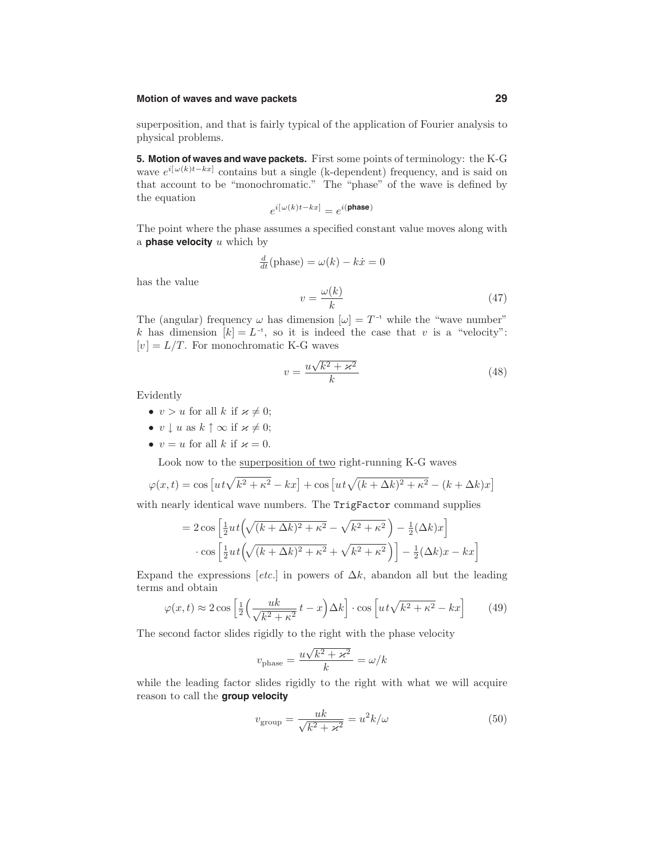### **Motion of waves and wave packets 29**

superposition, and that is fairly typical of the application of Fourier analysis to physical problems.

**5. Motion of waves and wave packets.** First some points of terminology: the K-G wave  $e^{i[\omega(k)t - kx]}$  contains but a single (k-dependent) frequency, and is said on that account to be "monochromatic." The "phase" of the wave is defined by the equation

$$
e^{i\left[\,\omega(k)t-kx\right] }=e^{i\left(\text{phase}\right)}
$$

The point where the phase assumes a specified constant value moves along with a **phase velocity** *u* which by

$$
\frac{d}{dt}(\text{phase}) = \omega(k) - k\dot{x} = 0
$$

has the value

$$
v = \frac{\omega(k)}{k} \tag{47}
$$

The (angular) frequency  $\omega$  has dimension  $[\omega] = T^{-1}$  while the "wave number" *k* has dimension  $[k] = L^{-1}$ , so it is indeed the case that *v* is a "velocity":  $[v] = L/T$ . For monochromatic K-G waves

$$
v = \frac{u\sqrt{k^2 + \varkappa^2}}{k} \tag{48}
$$

Evidently

- $v > u$  for all k if  $\varkappa \neq 0$ ;
- $v \downarrow u$  as  $k \uparrow \infty$  if  $\varkappa \neq 0$ ;
- $v = u$  for all k if  $\varkappa = 0$ .

Look now to the superposition of two right-running K-G waves

$$
\varphi(x,t) = \cos\left[ut\sqrt{k^2 + \kappa^2} - kx\right] + \cos\left[ut\sqrt{(k + \Delta k)^2 + \kappa^2} - (k + \Delta k)x\right]
$$

with nearly identical wave numbers. The TrigFactor command supplies

$$
= 2\cos\left[\frac{1}{2}ut\left(\sqrt{(k+\Delta k)^2 + \kappa^2} - \sqrt{k^2 + \kappa^2}\right) - \frac{1}{2}(\Delta k)x\right]
$$

$$
\cos\left[\frac{1}{2}ut\left(\sqrt{(k+\Delta k)^2 + \kappa^2} + \sqrt{k^2 + \kappa^2}\right)\right] - \frac{1}{2}(\Delta k)x - kx\right]
$$

Expand the expressions [etc.] in powers of  $\Delta k$ , abandon all but the leading terms and obtain

$$
\varphi(x,t) \approx 2\cos\left[\frac{1}{2}\left(\frac{uk}{\sqrt{k^2 + \kappa^2}}t - x\right)\Delta k\right] \cdot \cos\left[ut\sqrt{k^2 + \kappa^2} - kx\right] \tag{49}
$$

The second factor slides rigidly to the right with the phase velocity

$$
v_{\rm phase} = \frac{u\sqrt{k^2 + \varkappa^2}}{k} = \omega/k
$$

while the leading factor slides rigidly to the right with what we will acquire reason to call the **group velocity**

$$
v_{\rm group} = \frac{uk}{\sqrt{k^2 + \varkappa^2}} = u^2 k/\omega \tag{50}
$$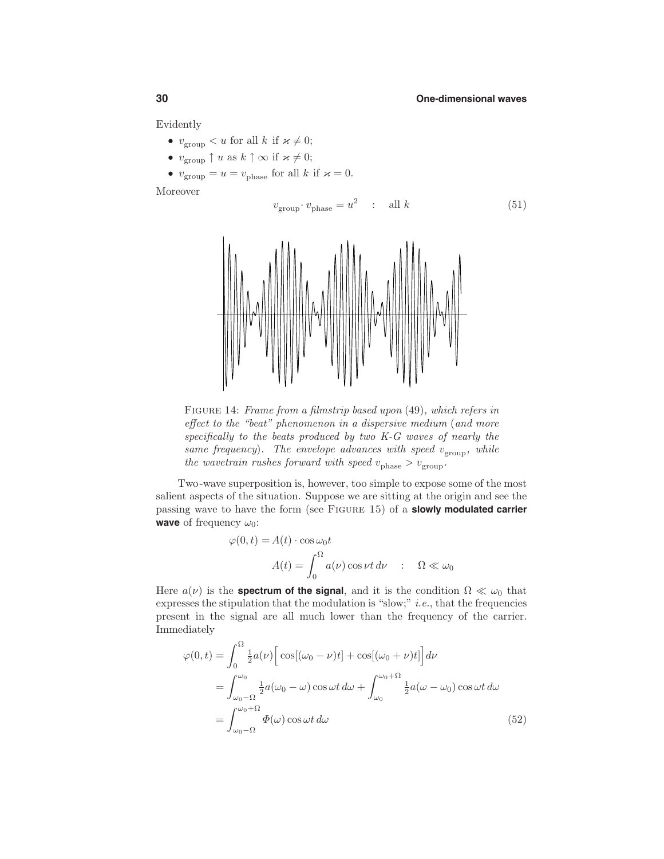Evidently

- $v_{\text{group}} < u$  for all  $k$  if  $\varkappa \neq 0$ ;
- $v_{\text{group}} \uparrow u$  as  $k \uparrow \infty$  if  $\varkappa \neq 0$ ;
- $v_{\text{group}} = u = v_{\text{phase}}$  for all *k* if  $\varkappa = 0$ .

Moreover

$$
v_{\text{group}} \cdot v_{\text{phase}} = u^2 \quad : \quad \text{all } k \tag{51}
$$



FIGURE 14: Frame from a filmstrip based upon (49), which refers in effect to the "beat" phenomenon in a dispersive medium (and more specifically to the beats produced by two K-G waves of nearly the same frequency). The envelope advances with speed  $v_{\text{group}}$ , while the wavetrain rushes forward with speed  $v_{\text{phase}} > v_{\text{group}}$ .

Two-wave superposition is, however, too simple to expose some of the most salient aspects of the situation. Suppose we are sitting at the origin and see the passing wave to have the form (see Figure 15) of a **slowly modulated carrier wave** of frequency  $\omega_0$ :

$$
\varphi(0, t) = A(t) \cdot \cos \omega_0 t
$$
  

$$
A(t) = \int_0^{\Omega} a(\nu) \cos \nu t \, d\nu \quad : \quad \Omega \ll \omega_0
$$

Here  $a(\nu)$  is the **spectrum of the signal**, and it is the condition  $\Omega \ll \omega_0$  that expresses the stipulation that the modulation is "slow;" *i.e.*, that the frequencies present in the signal are all much lower than the frequency of the carrier. Immediately

$$
\varphi(0,t) = \int_0^{\Omega} \frac{1}{2} a(\nu) \left[ \cos[(\omega_0 - \nu)t] + \cos[(\omega_0 + \nu)t] \right] d\nu
$$
  
\n
$$
= \int_{\omega_0 - \Omega}^{\omega_0} \frac{1}{2} a(\omega_0 - \omega) \cos \omega t \, d\omega + \int_{\omega_0}^{\omega_0 + \Omega} \frac{1}{2} a(\omega - \omega_0) \cos \omega t \, d\omega
$$
  
\n
$$
= \int_{\omega_0 - \Omega}^{\omega_0 + \Omega} \Phi(\omega) \cos \omega t \, d\omega \tag{52}
$$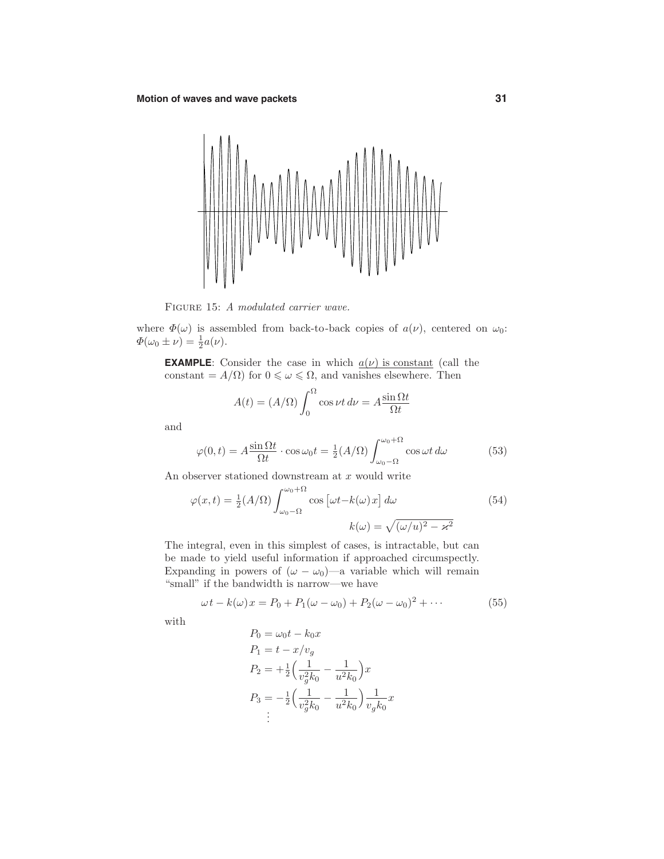

FIGURE 15: A modulated carrier wave.

where  $\Phi(\omega)$  is assembled from back-to-back copies of  $a(\nu)$ , centered on  $\omega_0$ :  $\Phi(\omega_0 \pm \nu) = \frac{1}{2}a(\nu).$ 

**EXAMPLE**: Consider the case in which  $a(\nu)$  is constant (call the constant  $= A/\Omega$  for  $0 \le \omega \le \Omega$ , and vanishes elsewhere. Then

$$
A(t) = (A/\Omega) \int_0^{\Omega} \cos \nu t \, d\nu = A \frac{\sin \Omega t}{\Omega t}
$$

and

$$
\varphi(0,t) = A \frac{\sin \Omega t}{\Omega t} \cdot \cos \omega_0 t = \frac{1}{2} (A/\Omega) \int_{\omega_0 - \Omega}^{\omega_0 + \Omega} \cos \omega t \, d\omega \tag{53}
$$

An observer stationed downstream at *x* would write

$$
\varphi(x,t) = \frac{1}{2}(A/\Omega) \int_{\omega_0 - \Omega}^{\omega_0 + \Omega} \cos \left[\omega t - k(\omega)x\right] d\omega \tag{54}
$$

$$
k(\omega) = \sqrt{(\omega/u)^2 - x^2}
$$

The integral, even in this simplest of cases, is intractable, but can be made to yield useful information if approached circumspectly. Expanding in powers of  $(\omega - \omega_0)$ —a variable which will remain "small" if the bandwidth is narrow—we have

$$
\omega t - k(\omega)x = P_0 + P_1(\omega - \omega_0) + P_2(\omega - \omega_0)^2 + \cdots
$$
\n(55)

with

$$
P_0 = \omega_0 t - k_0 x
$$
  
\n
$$
P_1 = t - x/v_g
$$
  
\n
$$
P_2 = +\frac{1}{2} \left( \frac{1}{v_g^2 k_0} - \frac{1}{u^2 k_0} \right) x
$$
  
\n
$$
P_3 = -\frac{1}{2} \left( \frac{1}{v_g^2 k_0} - \frac{1}{u^2 k_0} \right) \frac{1}{v_g k_0} x
$$
  
\n
$$
\vdots
$$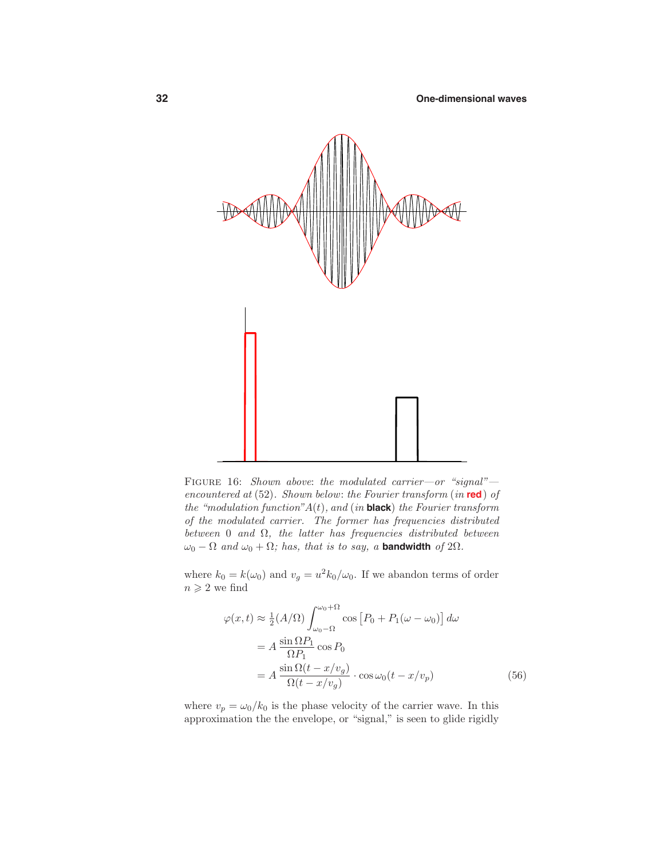

FIGURE 16: Shown above: the modulated carrier—or "signal" encountered at (52). Shown below: the Fourier transform (in **red**) of the "modulation function"*A*(*t*), and (in **black**) the Fourier transform of the modulated carrier. The former has frequencies distributed between 0 and  $\Omega$ , the latter has frequencies distributed between  $ω_0 − Ω$  and  $ω_0 + Ω$ ; has, that is to say, a **bandwidth** of  $2Ω$ .

where  $k_0 = k(\omega_0)$  and  $v_g = u^2 k_0/\omega_0$ . If we abandon terms of order  $n\geqslant 2$  we find

$$
\varphi(x,t) \approx \frac{1}{2} (A/\Omega) \int_{\omega_0 - \Omega}^{\omega_0 + \Omega} \cos [P_0 + P_1(\omega - \omega_0)] d\omega
$$
  
=  $A \frac{\sin \Omega P_1}{\Omega P_1} \cos P_0$   
=  $A \frac{\sin \Omega (t - x/v_g)}{\Omega (t - x/v_g)} \cdot \cos \omega_0 (t - x/v_p)$  (56)

where  $v_p = \omega_0/k_0$  is the phase velocity of the carrier wave. In this approximation the the envelope, or "signal," is seen to glide rigidly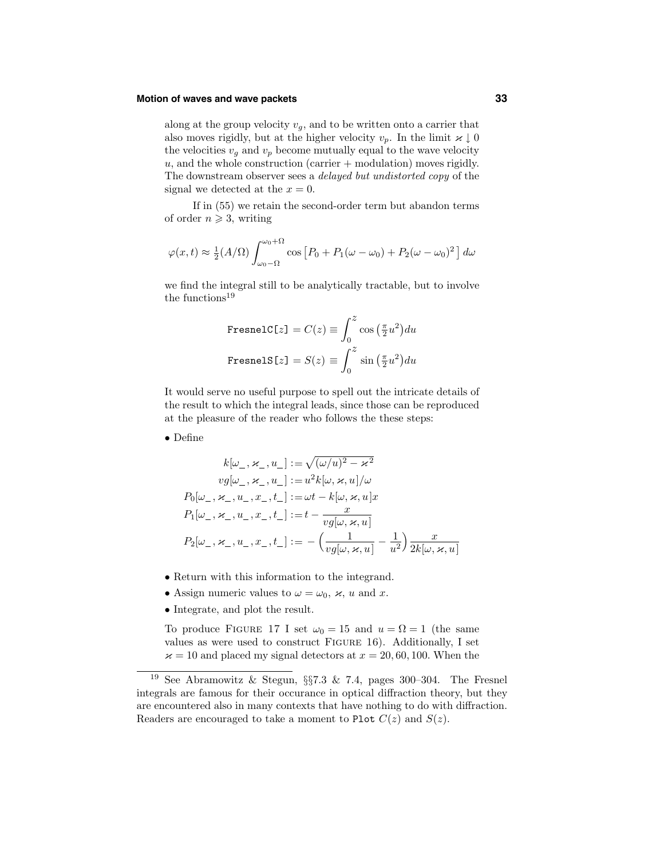#### **Motion of waves and wave packets 33**

along at the group velocity  $v_q$ , and to be written onto a carrier that also moves rigidly, but at the higher velocity  $v_p$ . In the limit  $\varkappa \downarrow 0$ the velocities  $v_g$  and  $v_p$  become mutually equal to the wave velocity  $u$ , and the whole construction (carrier  $+$  modulation) moves rigidly. The downstream observer sees a delayed but undistorted copy of the signal we detected at the  $x = 0$ .

If in (55) we retain the second-order term but abandon terms of order  $n \geqslant 3$ , writing

$$
\varphi(x,t) \approx \frac{1}{2}(A/\Omega) \int_{\omega_0 - \Omega}^{\omega_0 + \Omega} \cos \left[ P_0 + P_1(\omega - \omega_0) + P_2(\omega - \omega_0)^2 \right] d\omega
$$

we find the integral still to be analytically tractable, but to involve the functions<sup>19</sup>

$$
\begin{aligned} &\text{FresnelC}[z] = C(z) \equiv \int_0^z \cos\left(\frac{\pi}{2}u^2\right) du \\ &\text{FresnelS}[z] = S(z) \equiv \int_0^z \sin\left(\frac{\pi}{2}u^2\right) du \end{aligned}
$$

It would serve no useful purpose to spell out the intricate details of the result to which the integral leads, since those can be reproduced at the pleasure of the reader who follows the these steps:

• Define

$$
k[\omega_-, \varkappa_-, u_-] := \sqrt{(\omega/u)^2 - \varkappa^2}
$$
  
\n
$$
vg[\omega_-, \varkappa_-, u_-] := u^2 k[\omega, \varkappa, u]/\omega
$$
  
\n
$$
P_0[\omega_-, \varkappa_-, u_-, x_-, t_-] := \omega t - k[\omega, \varkappa, u]x
$$
  
\n
$$
P_1[\omega_-, \varkappa_-, u_-, x_-, t_-] := t - \frac{x}{vg[\omega, \varkappa, u]}
$$
  
\n
$$
P_2[\omega_-, \varkappa_-, u_-, x_-, t_-] := - \left(\frac{1}{vg[\omega, \varkappa, u]} - \frac{1}{u^2}\right) \frac{x}{2k[\omega, \varkappa, u]}
$$

- Return with this information to the integrand.
- Assign numeric values to  $\omega = \omega_0$ ,  $\varkappa$ , *u* and *x*.
- Integrate, and plot the result.

To produce FIGURE 17 I set  $\omega_0 = 15$  and  $u = \Omega = 1$  (the same values as were used to construct Figure 16). Additionally, I set  $x = 10$  and placed my signal detectors at  $x = 20, 60, 100$ . When the

<sup>19</sup> See Abramowitz & Stegun, §§7.3 & 7.4, pages 300–304. The Fresnel integrals are famous for their occurance in optical diffraction theory, but they are encountered also in many contexts that have nothing to do with diffraction. Readers are encouraged to take a moment to Plot  $C(z)$  and  $S(z)$ .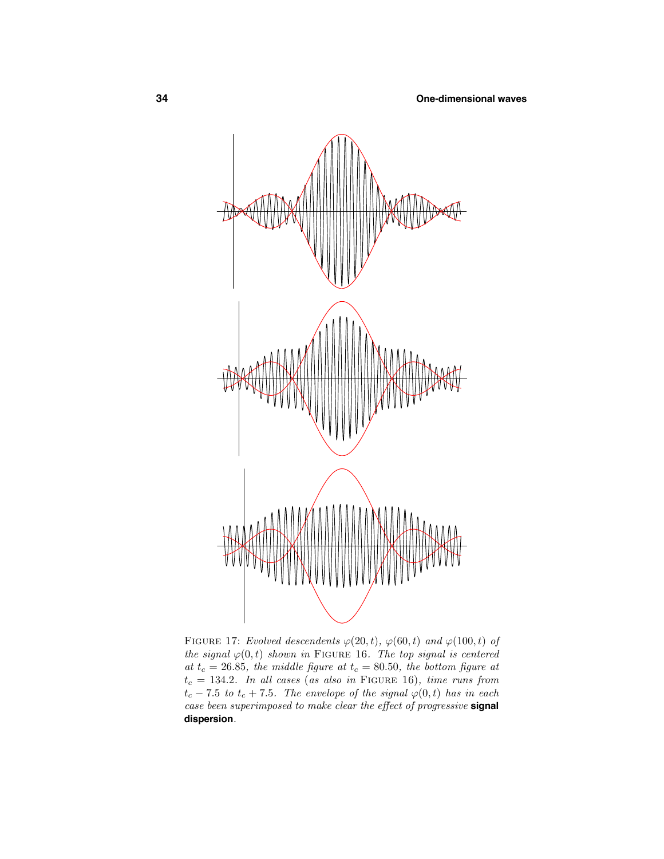

FIGURE 17: Evolved descendents  $\varphi(20,t)$ ,  $\varphi(60,t)$  and  $\varphi(100,t)$  of the signal  $\varphi(0,t)$  shown in FIGURE 16. The top signal is centered at  $t_c = 26.85$ , the middle figure at  $t_c = 80.50$ , the bottom figure at  $t_c = 134.2$ . In all cases (as also in FIGURE 16), time runs from  $t_c - 7.5$  to  $t_c + 7.5$ . The envelope of the signal  $\varphi(0, t)$  has in each case been superimposed to make clear the effect of progressive **signal dispersion**.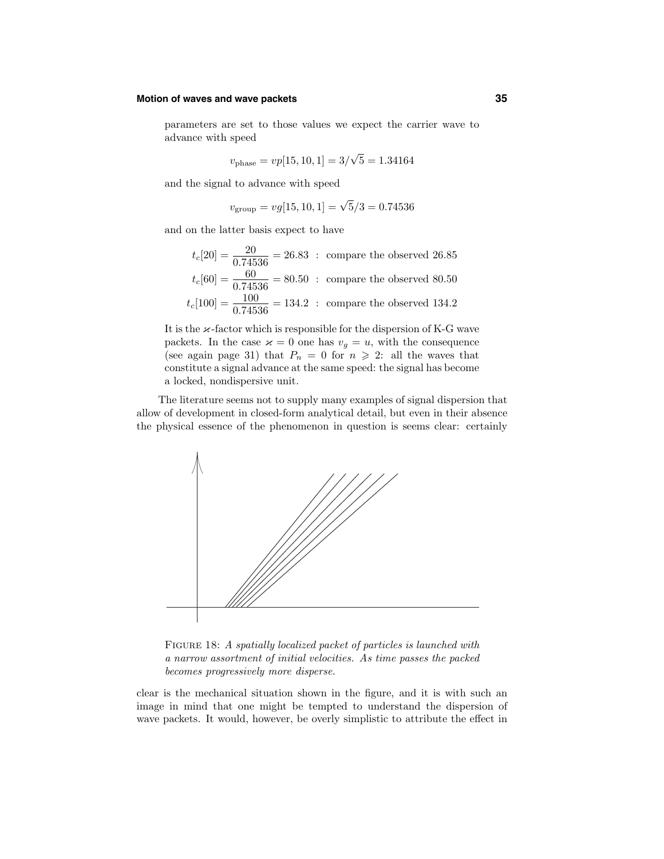#### **Motion of waves and wave packets 35**

parameters are set to those values we expect the carrier wave to advance with speed

$$
v_{\text{phase}} = vp[15, 10, 1] = 3/\sqrt{5} = 1.34164
$$

and the signal to advance with speed

$$
v_{\rm group} = v g[15, 10, 1] = \sqrt{5}/3 = 0.74536
$$

and on the latter basis expect to have

 $t_c[20] = \frac{20}{0.74536} = 26.83$  : compare the observed 26.85  $t_c[60] = \frac{60}{0.74536} = 80.50$  : compare the observed 80.50  $t_c[100] = \frac{100}{0.74536} = 134.2$  : compare the observed 134.2

It is the  $\varkappa$ -factor which is responsible for the dispersion of K-G wave packets. In the case  $\varkappa = 0$  one has  $v_g = u$ , with the consequence (see again page 31) that  $P_n = 0$  for  $n \geq 2$ : all the waves that constitute a signal advance at the same speed: the signal has become a locked, nondispersive unit.

The literature seems not to supply many examples of signal dispersion that allow of development in closed-form analytical detail, but even in their absence the physical essence of the phenomenon in question is seems clear: certainly



FIGURE 18: A spatially localized packet of particles is launched with a narrow assortment of initial velocities. As time passes the packed becomes progressively more disperse.

clear is the mechanical situation shown in the figure, and it is with such an image in mind that one might be tempted to understand the dispersion of wave packets. It would, however, be overly simplistic to attribute the effect in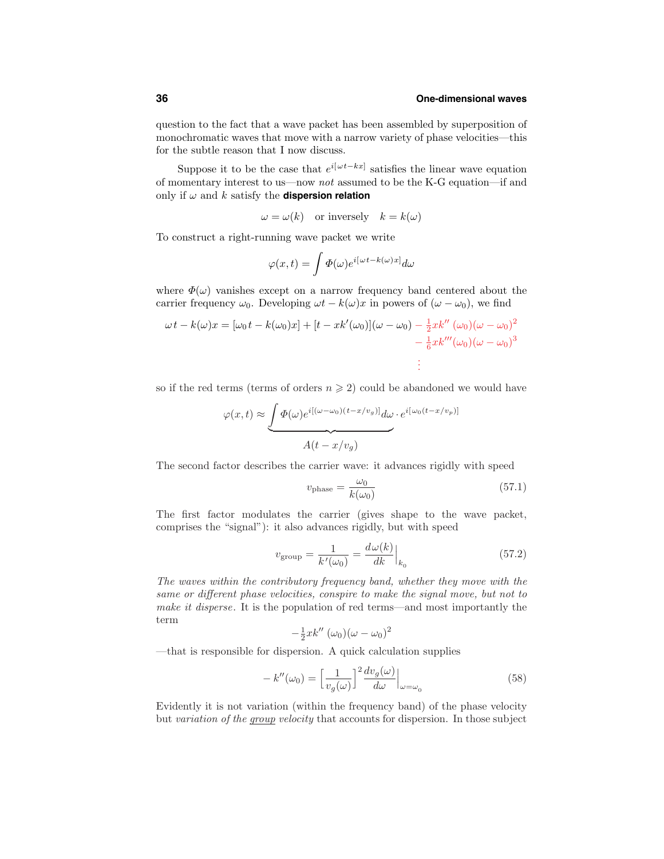question to the fact that a wave packet has been assembled by superposition of monochromatic waves that move with a narrow variety of phase velocities—this for the subtle reason that I now discuss.

Suppose it to be the case that  $e^{i[\omega t - kx]}$  satisfies the linear wave equation of momentary interest to us—now not assumed to be the K-G equation—if and only if  $\omega$  and  $k$  satisfy the **dispersion relation** 

$$
\omega = \omega(k)
$$
 or inversely  $k = k(\omega)$ 

To construct a right-running wave packet we write

$$
\varphi(x,t)=\int \varPhi(\omega)e^{i[\omega t-k(\omega)x]}d\omega
$$

where  $\Phi(\omega)$  vanishes except on a narrow frequency band centered about the carrier frequency  $\omega_0$ . Developing  $\omega t - k(\omega)x$  in powers of  $(\omega - \omega_0)$ , we find

$$
\omega t - k(\omega)x = [\omega_0 t - k(\omega_0)x] + [t - xk'(\omega_0)](\omega - \omega_0) - \frac{1}{2}xk''(\omega_0)(\omega - \omega_0)^2 - \frac{1}{6}xk'''(\omega_0)(\omega - \omega_0)^3
$$
  
:

so if the red terms (terms of orders  $n \geq 2$ ) could be abandoned we would have

$$
\varphi(x,t) \approx \underbrace{\int \Phi(\omega) e^{i[(\omega - \omega_0)(t - x/v_g)]} d\omega}_{A(t - x/v_g)} \cdot e^{i[\omega_0(t - x/v_p)]}
$$

The second factor describes the carrier wave: it advances rigidly with speed

$$
v_{\text{phase}} = \frac{\omega_0}{k(\omega_0)}\tag{57.1}
$$

The first factor modulates the carrier (gives shape to the wave packet, comprises the "signal"): it also advances rigidly, but with speed

$$
v_{\rm group} = \frac{1}{k'(\omega_0)} = \frac{d\omega(k)}{dk}\Big|_{k_0}
$$
\n(57.2)

The waves within the contributory frequency band, whether they move with the same or different phase velocities, conspire to make the signal move, but not to make it disperse. It is the population of red terms—and most importantly the term

$$
-\frac{1}{2}xk''\ (\omega_0)(\omega - \omega_0)^2
$$

—that is responsible for dispersion. A quick calculation supplies

$$
-k''(\omega_0) = \left[\frac{1}{v_g(\omega)}\right]^2 \frac{dv_g(\omega)}{d\omega}\Big|_{\omega=\omega_0}
$$
(58)

Evidently it is not variation (within the frequency band) of the phase velocity but variation of the group velocity that accounts for dispersion. In those subject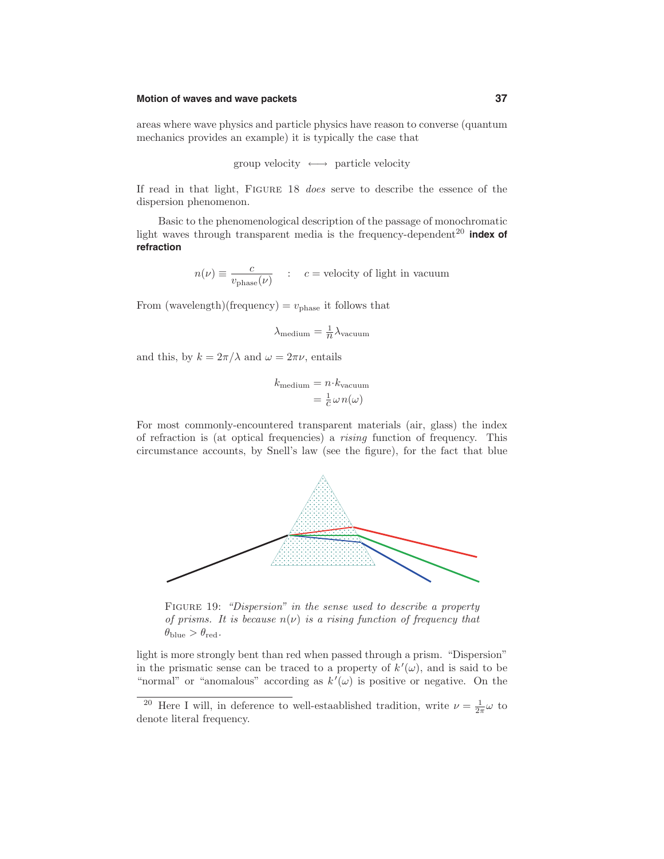#### **Motion of waves and wave packets 37**

areas where wave physics and particle physics have reason to converse (quantum mechanics provides an example) it is typically the case that

group velocity 
$$
\longleftrightarrow
$$
 particle velocity

If read in that light, Figure 18 does serve to describe the essence of the dispersion phenomenon.

Basic to the phenomenological description of the passage of monochromatic light waves through transparent media is the frequency-dependent<sup>20</sup> index of **refraction**

$$
n(\nu) \equiv \frac{c}{v_{\text{phase}}(\nu)} \quad : \quad c = \text{velocity of light in vacuum}
$$

From (wavelength)(frequency) =  $v_{\text{phase}}$  it follows that

$$
\lambda_{\text{medium}} = \frac{1}{n} \lambda_{\text{vacuum}}
$$

and this, by  $k = 2\pi/\lambda$  and  $\omega = 2\pi\nu$ , entails

$$
k_{\text{medium}} = n \cdot k_{\text{vacuum}}
$$

$$
= \frac{1}{c} \omega n(\omega)
$$

For most commonly-encountered transparent materials (air, glass) the index of refraction is (at optical frequencies) a rising function of frequency. This circumstance accounts, by Snell's law (see the figure), for the fact that blue



FIGURE 19: "Dispersion" in the sense used to describe a property of prisms. It is because  $n(\nu)$  is a rising function of frequency that  $\theta_{\text{blue}} > \theta_{\text{red}}.$ 

light is more strongly bent than red when passed through a prism. "Dispersion" in the prismatic sense can be traced to a property of  $k'(\omega)$ , and is said to be "normal" or "anomalous" according as  $k'(\omega)$  is positive or negative. On the

<sup>&</sup>lt;sup>20</sup> Here I will, in deference to well-estaablished tradition, write  $\nu = \frac{1}{2\pi}\omega$  to denote literal frequency.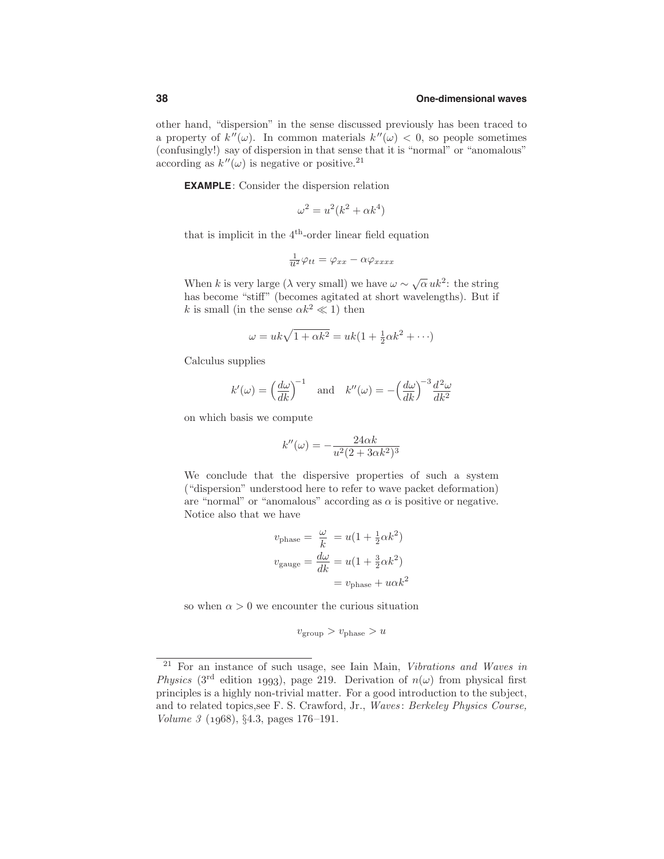other hand, "dispersion" in the sense discussed previously has been traced to a property of  $k''(\omega)$ . In common materials  $k''(\omega) < 0$ , so people sometimes (confusingly!) say of dispersion in that sense that it is "normal" or "anomalous" according as  $k''(\omega)$  is negative or positive.<sup>21</sup>

**EXAMPLE**: Consider the dispersion relation

$$
\omega^2 = u^2(k^2 + \alpha k^4)
$$

that is implicit in the  $4<sup>th</sup>$ -order linear field equation

$$
\frac{1}{u^2}\varphi_{tt} = \varphi_{xx} - \alpha\varphi_{xxxx}
$$

When *k* is very large ( $\lambda$  very small) we have  $\omega \sim \sqrt{\alpha} u k^2$ : the string has become "stiff" (becomes agitated at short wavelengths). But if *k* is small (in the sense  $\alpha k^2 \ll 1$ ) then

$$
\omega = uk\sqrt{1 + \alpha k^2} = uk(1 + \frac{1}{2}\alpha k^2 + \cdots)
$$

Calculus supplies

$$
k'(\omega) = \left(\frac{d\omega}{dk}\right)^{-1}
$$
 and  $k''(\omega) = -\left(\frac{d\omega}{dk}\right)^{-3} \frac{d^2\omega}{dk^2}$ 

on which basis we compute

$$
k''(\omega) = -\frac{24\alpha k}{u^2(2+3\alpha k^2)^3}
$$

We conclude that the dispersive properties of such a system ("dispersion" understood here to refer to wave packet deformation) are "normal" or "anomalous" according as  $\alpha$  is positive or negative. Notice also that we have

$$
v_{\text{phase}} = \frac{\omega}{k} = u(1 + \frac{1}{2}\alpha k^2)
$$

$$
v_{\text{gauge}} = \frac{d\omega}{dk} = u(1 + \frac{3}{2}\alpha k^2)
$$

$$
= v_{\text{phase}} + u\alpha k^2
$$

so when  $\alpha > 0$  we encounter the curious situation

$$
v_{\rm group} > v_{\rm phase} > u
$$

<sup>&</sup>lt;sup>21</sup> For an instance of such usage, see Iain Main, Vibrations and Waves in Physics (3<sup>rd</sup> edition 1993), page 219. Derivation of  $n(\omega)$  from physical first principles is a highly non-trivial matter. For a good introduction to the subject, and to related topics, see F. S. Crawford, Jr., Waves: Berkeley Physics Course, Volume 3 (*1968*), §4.3, pages 176–191.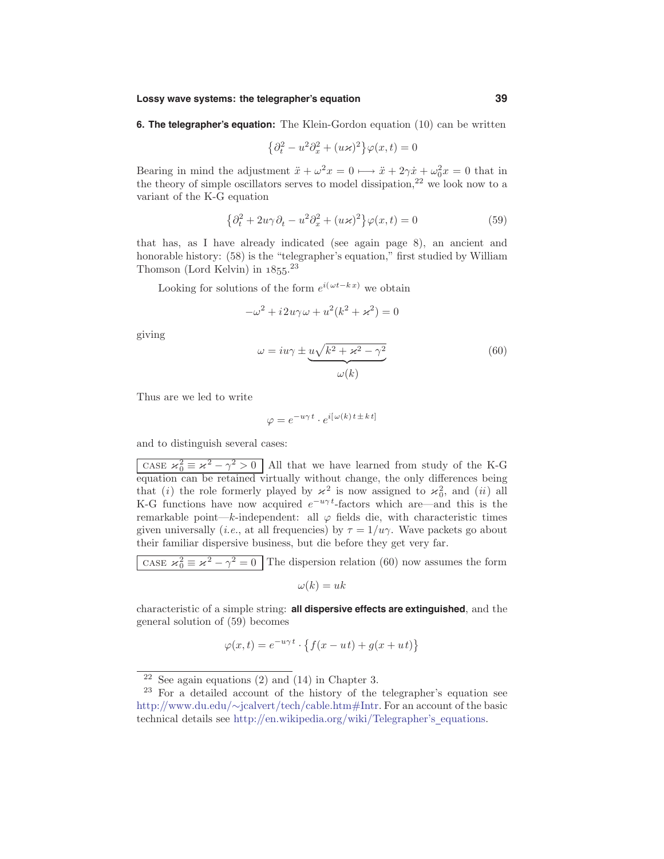#### **Lossy wave systems: the telegrapher's equation 39**

**6. The telegrapher's equation:** The Klein-Gordon equation (10) can be written

$$
\{\partial_t^2 - u^2 \partial_x^2 + (u \varkappa)^2\} \varphi(x, t) = 0
$$

Bearing in mind the adjustment  $\ddot{x} + \omega^2 x = 0 \rightarrow \ddot{x} + 2\gamma \dot{x} + \omega_0^2 x = 0$  that in the theory of simple oscillators serves to model dissipation,<sup>22</sup> we look now to a variant of the K-G equation

$$
\{\partial_t^2 + 2u\gamma \partial_t - u^2 \partial_x^2 + (u\varkappa)^2\} \varphi(x,t) = 0
$$
\n(59)

that has, as I have already indicated (see again page 8), an ancient and honorable history: (58) is the "telegrapher's equation," first studied by William Thomson (Lord Kelvin) in *1855*. 23

Looking for solutions of the form  $e^{i(\omega t - kx)}$  we obtain

$$
-\omega^2 + i2u\gamma\omega + u^2(k^2 + \varkappa^2) = 0
$$

giving

$$
\omega = i u \gamma \pm \underbrace{u \sqrt{k^2 + \varkappa^2 - \gamma^2}}_{\omega(k)} \tag{60}
$$

Thus are we led to write

$$
\varphi = e^{-u\gamma t} \cdot e^{i[\omega(k) t \pm k t]}
$$

and to distinguish several cases:

CASE  $\chi_0^2 \equiv \chi^2 - \gamma^2 > 0$  All that we have learned from study of the K-G equation can be retained virtually without change, the only differences being that (i) the role formerly played by  $\varkappa^2$  is now assigned to  $\varkappa_0^2$ , and (ii) all K-G functions have now acquired *e*−*uγ t*-factors which are—and this is the remarkable point—*k*-independent: all  $\varphi$  fields die, with characteristic times given universally (*i.e.*, at all frequencies) by  $\tau = 1/u\gamma$ . Wave packets go about their familiar dispersive business, but die before they get very far.

CASE 
$$
\varkappa_0^2 \equiv \varkappa^2 - \gamma^2 = 0
$$
 The dispersion relation (60) now assumes the form

$$
\omega(k) = uk
$$

characteristic of a simple string: **all dispersive effects are extinguished**, and the general solution of (59) becomes

$$
\varphi(x,t) = e^{-u\gamma t} \cdot \{f(x - ut) + g(x + ut)\}
$$

<sup>&</sup>lt;sup>22</sup> See again equations (2) and (14) in Chapter 3.

<sup>23</sup> For a detailed account of the history of the telegrapher's equation see http://www.du.edu/∼jcalvert/tech/cable.htm#Intr. For an account of the basic technical details see http://en.wikipedia.org/wiki/Telegrapher's\_equations.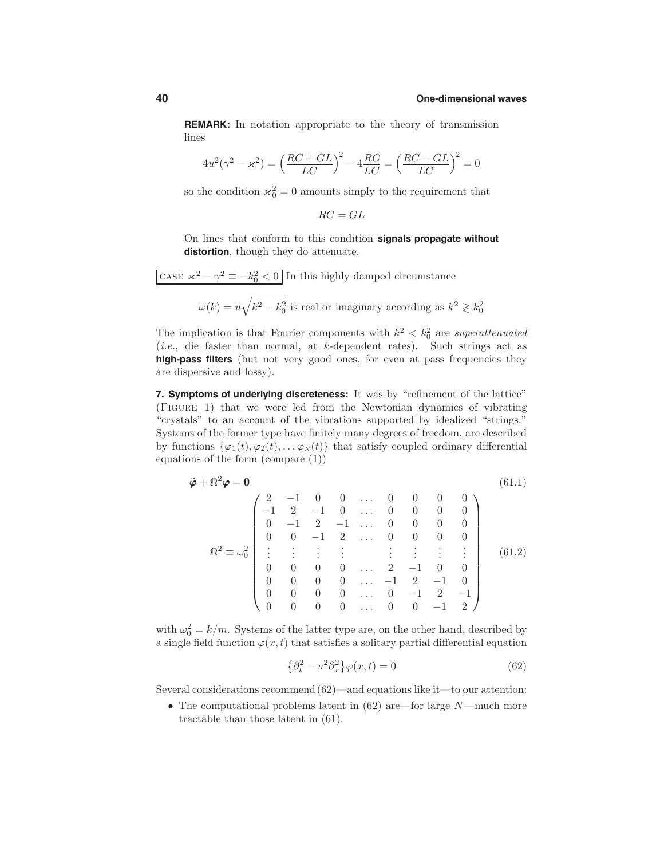**REMARK:** In notation appropriate to the theory of transmission lines

$$
4u^{2}(\gamma^{2} - \varkappa^{2}) = \left(\frac{RC + GL}{LC}\right)^{2} - 4\frac{RG}{LC} = \left(\frac{RC - GL}{LC}\right)^{2} = 0
$$

so the condition  $\chi_0^2 = 0$  amounts simply to the requirement that

 $RC = GL$ 

On lines that conform to this condition **signals propagate without distortion**, though they do attenuate.

CASE 
$$
\varkappa^2 - \gamma^2 \equiv -k_0^2 < 0
$$
 In this highly damped circumstance  

$$
\omega(k) = u\sqrt{k^2 - k_0^2}
$$
 is real or imaginary according as  $k^2 \ge k_0^2$ 

The implication is that Fourier components with  $k^2 < k_0^2$  are *superattenuated* (i.e., die faster than normal, at *k*-dependent rates). Such strings act as **high-pass filters** (but not very good ones, for even at pass frequencies they are dispersive and lossy).

**7. Symptoms of underlying discreteness:** It was by "refinement of the lattice" (Figure 1) that we were led from the Newtonian dynamics of vibrating "crystals" to an account of the vibrations supported by idealized "strings." Systems of the former type have finitely many degrees of freedom, are described by functions  $\{\varphi_1(t), \varphi_2(t), \ldots, \varphi_N(t)\}\$  that satisfy coupled ordinary differential equations of the form (compare (1))

$$
\ddot{\varphi} + \Omega^2 \varphi = \mathbf{0}
$$
\n
$$
\Omega^2 \equiv \omega_0^2 \begin{pmatrix}\n2 & -1 & 0 & 0 & \dots & 0 & 0 & 0 & 0 \\
-1 & 2 & -1 & 0 & \dots & 0 & 0 & 0 & 0 \\
0 & -1 & 2 & -1 & \dots & 0 & 0 & 0 & 0 \\
0 & 0 & -1 & 2 & \dots & 0 & 0 & 0 & 0 \\
\vdots & \vdots & \vdots & \vdots & \vdots & \vdots & \vdots & \vdots & \vdots \\
0 & 0 & 0 & 0 & \dots & 2 & -1 & 0 & 0 \\
0 & 0 & 0 & 0 & \dots & -1 & 2 & -1 & 0 \\
0 & 0 & 0 & 0 & \dots & 0 & -1 & 2 & -1 \\
0 & 0 & 0 & 0 & \dots & 0 & 0 & -1 & 2\n\end{pmatrix}
$$
\n(61.1)

with  $\omega_0^2 = k/m$ . Systems of the latter type are, on the other hand, described by a single field function  $\varphi(x, t)$  that satisfies a solitary partial differential equation

$$
\{\partial_t^2 - u^2 \partial_x^2\} \varphi(x, t) = 0 \tag{62}
$$

Several considerations recommend(62)—and equations like it—to our attention:

• The computational problems latent in (62) are—for large *N*—much more tractable than those latent in (61).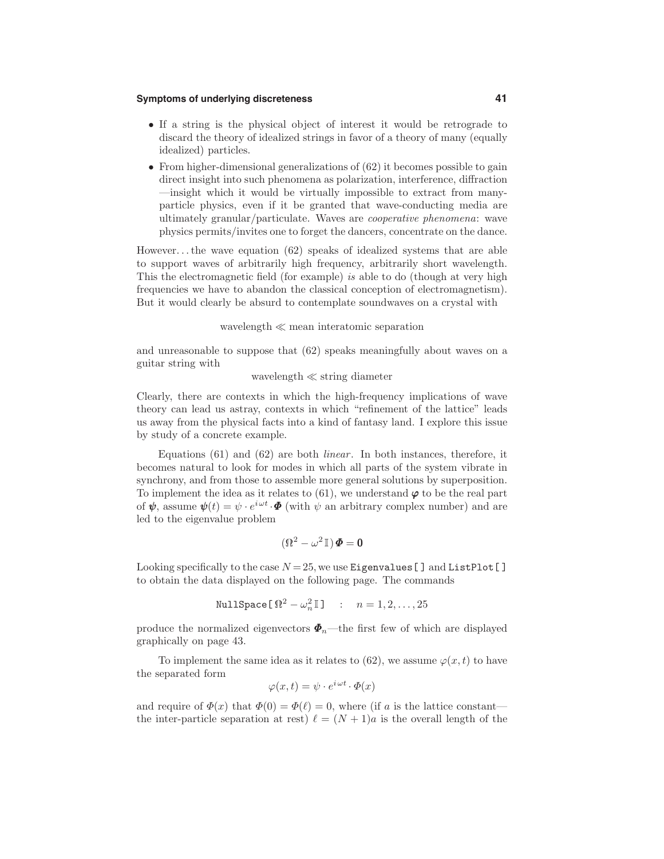#### **Symptoms of underlying discreteness 41**

- If a string is the physical object of interest it would be retrograde to discard the theory of idealized strings in favor of a theory of many (equally idealized) particles.
- From higher-dimensional generalizations of (62) it becomes possible to gain direct insight into such phenomena as polarization, interference, diffraction —insight which it would be virtually impossible to extract from manyparticle physics, even if it be granted that wave-conducting media are ultimately granular/particulate. Waves are cooperative phenomena: wave physics permits/invites one to forget the dancers, concentrate on the dance.

However*...*the wave equation (62) speaks of idealized systems that are able to support waves of arbitrarily high frequency, arbitrarily short wavelength. This the electromagnetic field (for example) is able to do (though at very high frequencies we have to abandon the classical conception of electromagnetism). But it would clearly be absurd to contemplate soundwaves on a crystal with

#### wavelength  $\ll$  mean interatomic separation

and unreasonable to suppose that (62) speaks meaningfully about waves on a guitar string with

$$
wavelength \ll string\ diameter
$$

Clearly, there are contexts in which the high-frequency implications of wave theory can lead us astray, contexts in which "refinement of the lattice" leads us away from the physical facts into a kind of fantasy land. I explore this issue by study of a concrete example.

Equations  $(61)$  and  $(62)$  are both *linear*. In both instances, therefore, it becomes natural to look for modes in which all parts of the system vibrate in synchrony, and from those to assemble more general solutions by superposition. To implement the idea as it relates to  $(61)$ , we understand  $\varphi$  to be the real part of  $\psi$ , assume  $\psi(t) = \psi \cdot e^{i\omega t} \cdot \Phi$  (with  $\psi$  an arbitrary complex number) and are led to the eigenvalue problem

$$
(\Omega^2 - \omega^2 \mathbb{I}) \boldsymbol{\Phi} = \mathbf{0}
$$

Looking specifically to the case  $N = 25$ , we use **Eigenvalues** [ ] and **ListPlot** [ ] to obtain the data displayed on the following page. The commands

$$
\mathtt{NullSpace} \hspace{0.01in} [\hspace{0.05in} \mathbf{N}^2 - \omega_n^2 \hspace{0.05in} \mathbb{I} \hspace{0.05in} ] \hspace{0.5in} \hspace{0.5in} \hspace{0.5in} n = 1,2,\ldots,25
$$

produce the normalized eigenvectors  $\Phi_n$ —the first few of which are displayed graphically on page 43.

To implement the same idea as it relates to (62), we assume  $\varphi(x, t)$  to have the separated form

$$
\varphi(x,t) = \psi \cdot e^{i\omega t} \cdot \Phi(x)
$$

and require of  $\Phi(x)$  that  $\Phi(0) = \Phi(\ell) = 0$ , where (if *a* is the lattice constant the inter-particle separation at rest)  $\ell = (N+1)a$  is the overall length of the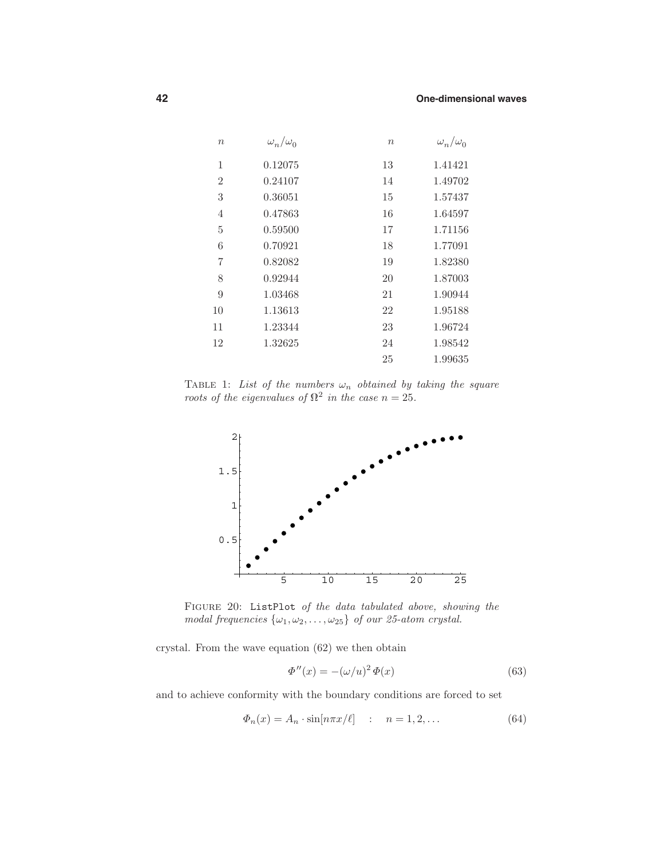| $\boldsymbol{n}$ | $\omega_n/\omega_0$ | $\boldsymbol{n}$ | $\omega_n/\omega_0$ |
|------------------|---------------------|------------------|---------------------|
| 1                | 0.12075             | 13               | 1.41421             |
| $\overline{2}$   | 0.24107             | 14               | 1.49702             |
| 3                | 0.36051             | 15               | 1.57437             |
| 4                | 0.47863             | 16               | 1.64597             |
| 5                | 0.59500             | 17               | 1.71156             |
| 6                | 0.70921             | 18               | 1.77091             |
| 7                | 0.82082             | 19               | 1.82380             |
| 8                | 0.92944             | 20               | 1.87003             |
| 9                | 1.03468             | 21               | 1.90944             |
| 10               | 1.13613             | 22               | 1.95188             |
| 11               | 1.23344             | 23               | 1.96724             |
| 12               | 1.32625             | 24               | 1.98542             |
|                  |                     | 25               | 1.99635             |

TABLE 1: List of the numbers  $\omega_n$  obtained by taking the square roots of the eigenvalues of  $\mathbb{R}^2$  in the case  $n = 25$ .



FIGURE 20: ListPlot of the data tabulated above, showing the modal frequencies  $\{\omega_1, \omega_2, \dots, \omega_{25}\}$  of our 25-atom crystal.

crystal. From the wave equation (62) we then obtain

$$
\Phi''(x) = -(\omega/u)^2 \Phi(x) \tag{63}
$$

and to achieve conformity with the boundary conditions are forced to set

$$
\Phi_n(x) = A_n \cdot \sin[n\pi x/\ell] \quad : \quad n = 1, 2, \dots \tag{64}
$$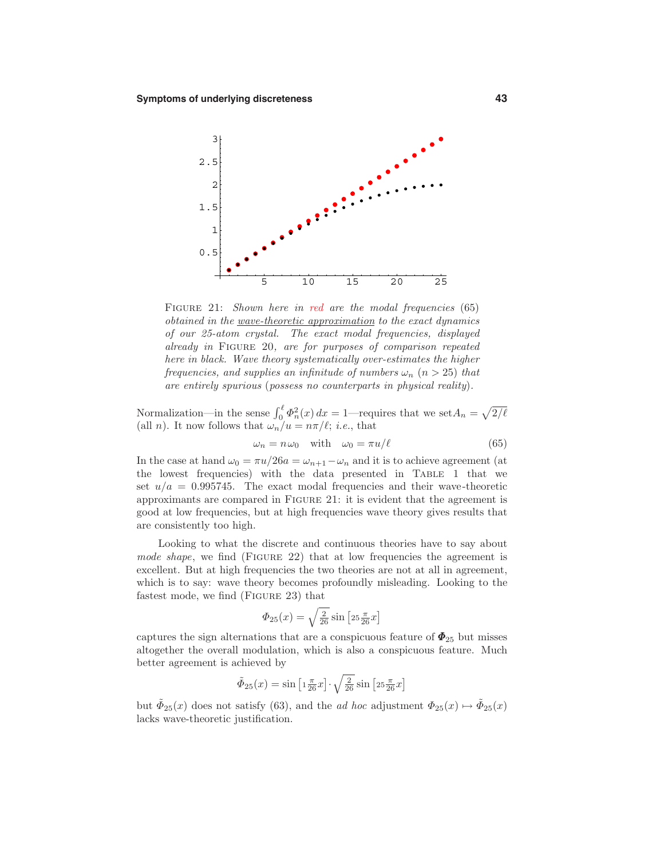

FIGURE 21: Shown here in red are the modal frequencies (65) obtained in the wave-theoretic approximation to the exact dynamics of our 25-atom crystal. The exact modal frequencies, displayed already in FIGURE 20, are for purposes of comparison repeated here in black. Wave theory systematically over-estimates the higher frequencies, and supplies an infinitude of numbers  $\omega_n$  ( $n > 25$ ) that are entirely spurious (possess no counterparts in physical reality).

Normalization—in the sense  $\int_0^{\ell} \Phi_n^2(x) dx = 1$ —requires that we set $A_n = \sqrt{2/\ell}$ (all *n*). It now follows that  $\omega_n/u = n\pi/\ell$ ; *i.e.*, that

$$
\omega_n = n\omega_0 \quad \text{with} \quad \omega_0 = \pi u/\ell \tag{65}
$$

In the case at hand  $\omega_0 = \pi u/26a = \omega_{n+1} - \omega_n$  and it is to achieve agreement (at the lowest frequencies) with the data presented in Table 1 that we set  $u/a = 0.995745$ . The exact modal frequencies and their wave-theoretic approximants are compared in Figure 21: it is evident that the agreement is good at low frequencies, but at high frequencies wave theory gives results that are consistently too high.

Looking to what the discrete and continuous theories have to say about mode shape, we find (FIGURE 22) that at low frequencies the agreement is excellent. But at high frequencies the two theories are not at all in agreement, which is to say: wave theory becomes profoundly misleading. Looking to the fastest mode, we find (Figure 23) that

$$
\Phi_{25}(x) = \sqrt{\frac{2}{26}} \sin \left[ 25 \frac{\pi}{26} x \right]
$$

captures the sign alternations that are a conspicuous feature of  $\Phi_{25}$  but misses altogether the overall modulation, which is also a conspicuous feature. Much better agreement is achieved by

$$
\tilde{\Phi}_{25}(x) = \sin\left[1\frac{\pi}{26}x\right] \cdot \sqrt{\frac{2}{26}}\sin\left[25\frac{\pi}{26}x\right]
$$

but  $\tilde{\Phi}_{25}(x)$  does not satisfy (63), and the *ad hoc* adjustment  $\Phi_{25}(x) \mapsto \tilde{\Phi}_{25}(x)$ lacks wave-theoretic justification.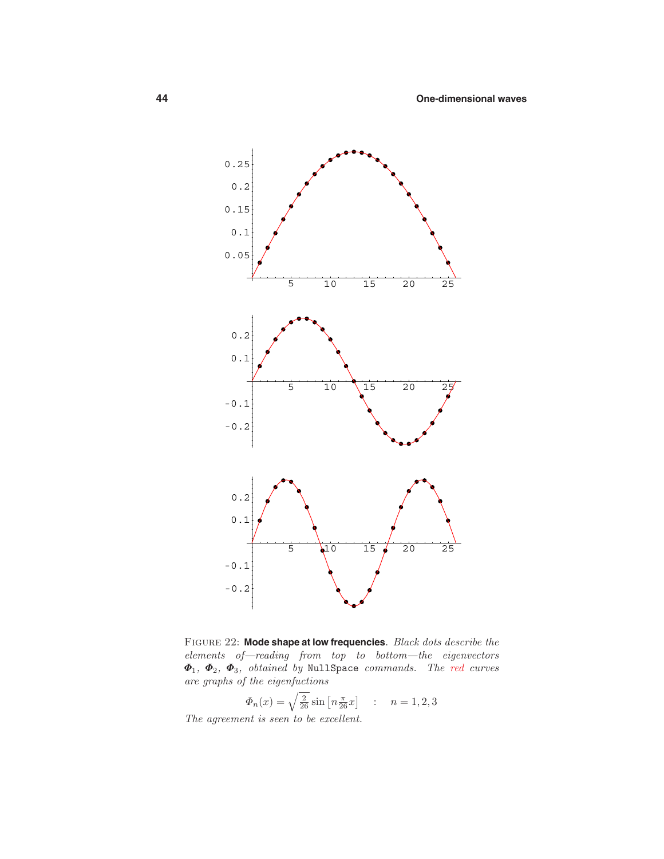

Figure 22: **Mode shape at low frequencies**. Black dots describe the  $elements \quad of—reading \quad from \quad top \quad to \quad bottom—the \quad eigenvectors$ *Φ*1, *Φ*2, *Φ*3, obtained by NullSpace commands. The red curves are graphs of the eigenfuctions

$$
\Phi_n(x) = \sqrt{\frac{2}{26}} \sin \left[ n \frac{\pi}{26} x \right] \quad : \quad n = 1, 2, 3
$$

The agreement is seen to be excellent.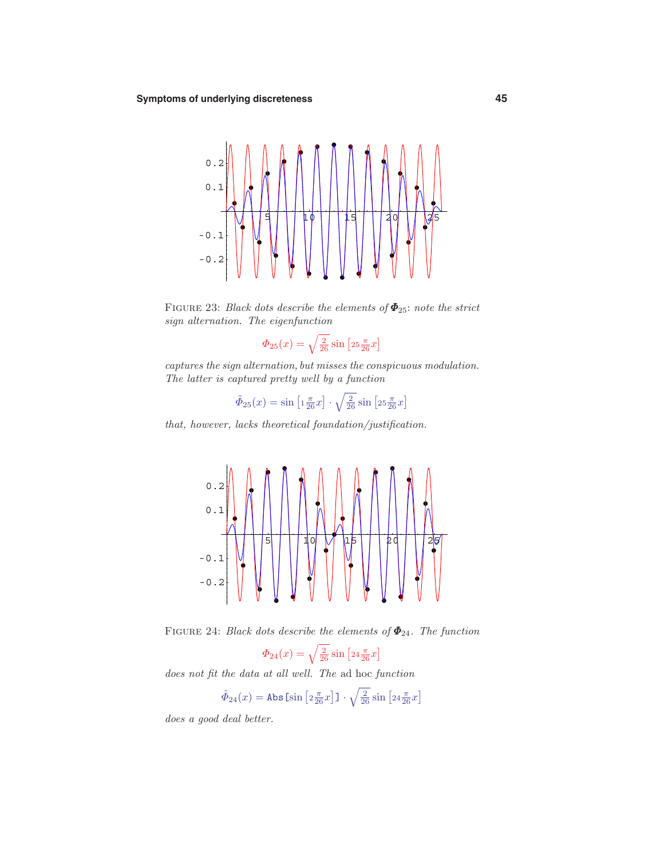

Figure 23: Black dots describe the elements of *Φ*25: note the strict sign alternation. The eigenfunction

$$
\Phi_{25}(x) = \sqrt{\frac{2}{26}} \sin \left[25 \frac{\pi}{26} x\right]
$$

captures the sign alternation, but misses the conspicuous modulation. The latter is captured pretty well by a function

$$
\tilde{\Phi}_{25}(x) = \sin\left[1\frac{\pi}{26}x\right] \cdot \sqrt{\frac{2}{26}}\sin\left[25\frac{\pi}{26}x\right]
$$

that, however, lacks theoretical foundation/justification.



FIGURE 24: Black dots describe the elements of  $\Phi_{24}$ . The function

$$
\Phi_{24}(x) = \sqrt{\frac{2}{26}} \sin \left[ 24 \frac{\pi}{26} x \right]
$$

does not fit the data at all well. The ad hoc function

$$
\tilde{\Phi}_{24}(x) = \text{Abs}\left[\sin\left[2\frac{\pi}{26}x\right]\right] \cdot \sqrt{\frac{2}{26}}\sin\left[24\frac{\pi}{26}x\right]
$$

does a good deal better.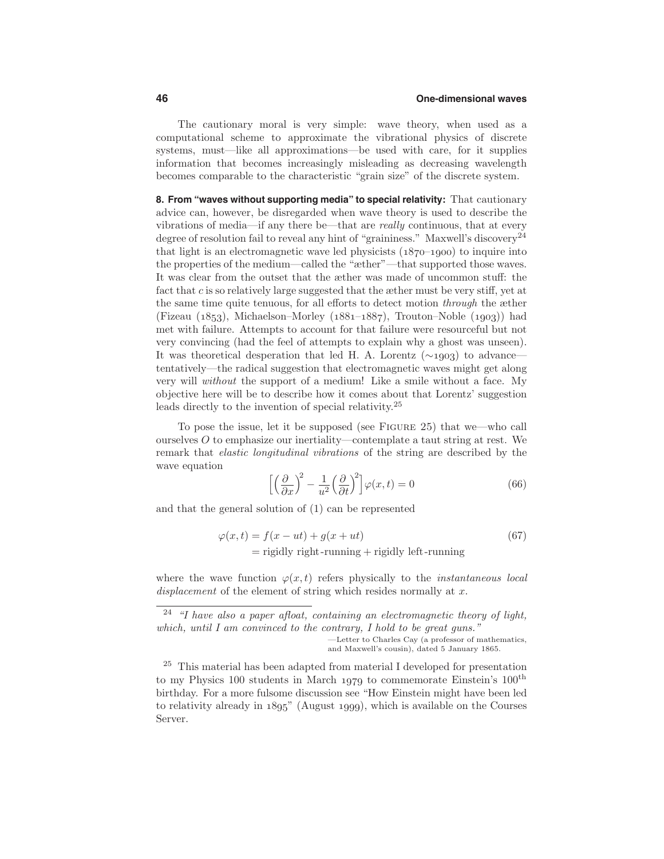The cautionary moral is very simple: wave theory, when used as a computational scheme to approximate the vibrational physics of discrete systems, must—like all approximations—be used with care, for it supplies information that becomes increasingly misleading as decreasing wavelength becomes comparable to the characteristic "grain size" of the discrete system.

**8. From "waves without supporting media" to special relativity:** That cautionary advice can, however, be disregarded when wave theory is used to describe the vibrations of media—if any there be—that are really continuous, that at every degree of resolution fail to reveal any hint of "graininess." Maxwell's discovery<sup>24</sup> that light is an electromagnetic wave led physicists (*1870*–*1900*) to inquire into the properties of the medium—called the "æther"—that supported those waves. It was clear from the outset that the æther was made of uncommon stuff: the fact that *c* is so relatively large suggested that the æther must be very stiff, yet at the same time quite tenuous, for all efforts to detect motion through the æther (Fizeau (*1853*), Michaelson–Morley (*1881*–*1887*), Trouton–Noble (*1903*)) had met with failure. Attempts to account for that failure were resourceful but not very convincing (had the feel of attempts to explain why a ghost was unseen). It was theoretical desperation that led H. A. Lorentz (∼*1903*) to advance tentatively—the radical suggestion that electromagnetic waves might get along very will without the support of a medium! Like a smile without a face. My objective here will be to describe how it comes about that Lorentz' suggestion leads directly to the invention of special relativity.<sup>25</sup>

To pose the issue, let it be supposed (see Figure 25) that we—who call ourselves *O* to emphasize our inertiality—contemplate a taut string at rest. We remark that elastic longitudinal vibrations of the string are described by the wave equation

$$
\left[ \left( \frac{\partial}{\partial x} \right)^2 - \frac{1}{u^2} \left( \frac{\partial}{\partial t} \right)^2 \right] \varphi(x, t) = 0 \tag{66}
$$

and that the general solution of (1) can be represented

$$
\varphi(x,t) = f(x - ut) + g(x + ut)
$$
  
= rigidly right-running + rigidly left-running (67)

where the wave function  $\varphi(x,t)$  refers physically to the *instantaneous local* displacement of the element of string which resides normally at *x*.

—Letter to Charles Cay (a professor of mathematics, and Maxwell's cousin), dated 5 January 1865.

 $24$  "I have also a paper afloat, containing an electromagnetic theory of light, which, until I am convinced to the contrary, I hold to be great guns."

<sup>25</sup> This material has been adapted from material I developed for presentation to my Physics 100 students in March *1979* to commemorate Einstein's 100th birthday. For a more fulsome discussion see "How Einstein might have been led to relativity already in *1895*" (August *1999*), which is available on the Courses Server.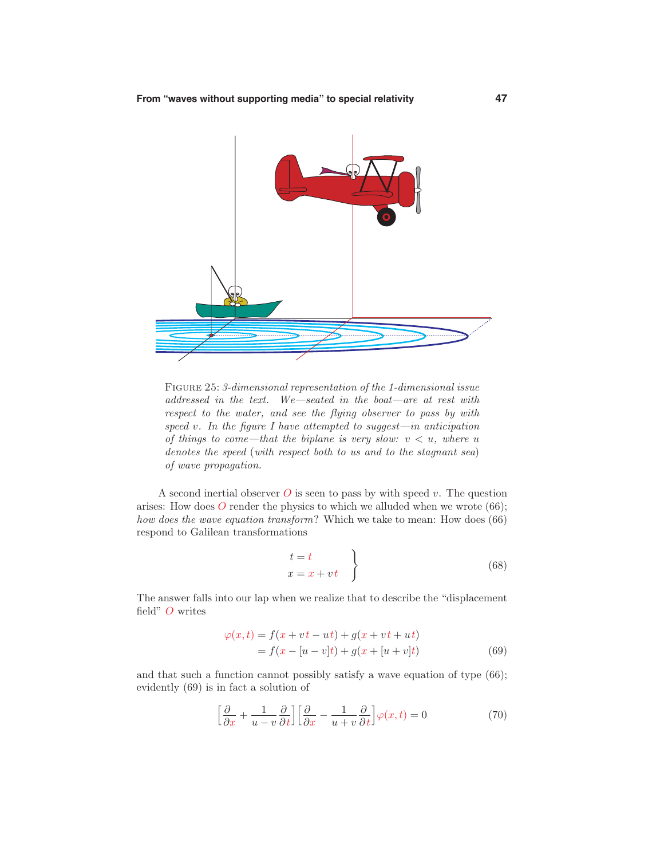

Figure 25: 3-dimensional representation of the 1-dimensional issue addressed in the text. We—seated in the boat—are at rest with respect to the water, and see the flying observer to pass by with speed  $v$ . In the figure I have attempted to suggest—in anticipation of things to come—that the biplane is very slow:  $v < u$ , where *u* denotes the speed (with respect both to us and to the stagnant sea) of wave propagation.

A second inertial observer  $\overline{O}$  is seen to pass by with speed  $v$ . The question arises: How does  $O$  render the physics to which we alluded when we wrote  $(66)$ ; how does the wave equation transform? Which we take to mean: How does (66) respond to Galilean transformations

$$
\begin{aligned}\n t &= t \\
 x &= x + vt\n \end{aligned}\n \tag{68}
$$

The answer falls into our lap when we realize that to describe the "displacement field" *O* writes

$$
\varphi(x,t) = f(x + vt - ut) + g(x + vt + ut)
$$
  
=  $f(x - [u - v]t) + g(x + [u + v]t)$  (69)

and that such a function cannot possibly satisfy a wave equation of type (66); evidently (69) is in fact a solution of

$$
\left[\frac{\partial}{\partial x} + \frac{1}{u - v} \frac{\partial}{\partial t}\right] \left[\frac{\partial}{\partial x} - \frac{1}{u + v} \frac{\partial}{\partial t}\right] \varphi(x, t) = 0 \tag{70}
$$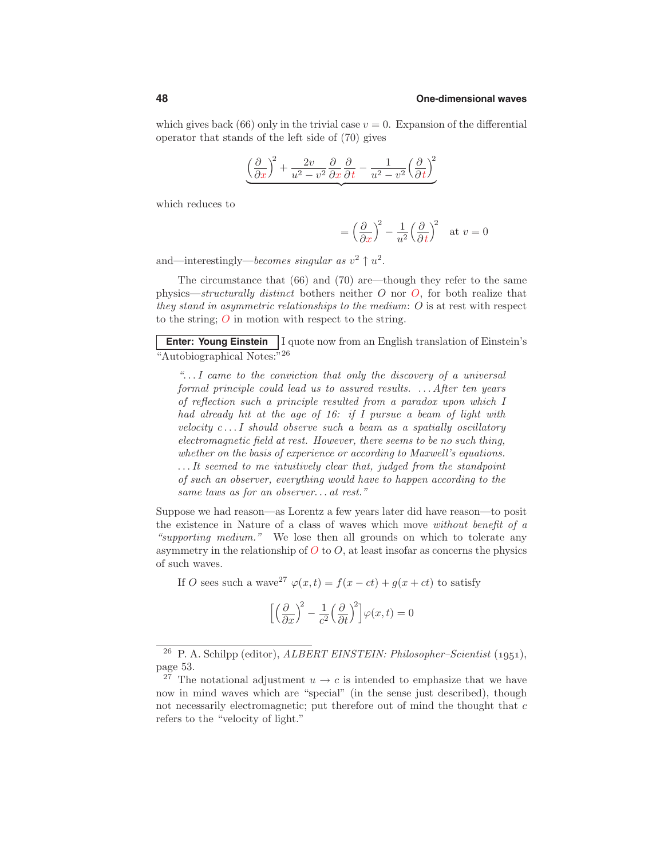which gives back (66) only in the trivial case  $v = 0$ . Expansion of the differential operator that stands of the left side of (70) gives

$$
\left(\frac{\partial}{\partial x}\right)^2 + \frac{2v}{u^2 - v^2} \frac{\partial}{\partial x} \frac{\partial}{\partial t} - \frac{1}{u^2 - v^2} \left(\frac{\partial}{\partial t}\right)^2
$$

which reduces to

$$
= \left(\frac{\partial}{\partial x}\right)^2 - \frac{1}{u^2} \left(\frac{\partial}{\partial t}\right)^2 \quad \text{at } v = 0
$$

 $\overline{\phantom{a}}$ 

and—interestingly—*becomes singular as*  $v^2 \uparrow u^2$ .

 

The circumstance that (66) and (70) are—though they refer to the same physics—structurally distinct bothers neither *O* nor *O*, for both realize that they stand in asymmetric relationships to the medium: *O* is at rest with respect to the string; *O* in motion with respect to the string.

**Enter: Young Einstein** I quote now from an English translation of Einstein's "Autobiographical Notes:"<sup>26</sup>

"*...*I came to the conviction that only the discovery of a universal formal principle could lead us to assured results. *...* After ten years of reflection such a principle resulted from a paradox upon which I had already hit at the age of 16: if I pursue a beam of light with velocity  $c \ldots I$  should observe such a beam as a spatially oscillatory electromagnetic field at rest. However, there seems to be no such thing, whether on the basis of experience or according to Maxwell's equations. *...*It seemed to me intuitively clear that, judged from the standpoint of such an observer, everything would have to happen according to the same laws as for an observer*...* at rest."

Suppose we had reason—as Lorentz a few years later did have reason—to posit the existence in Nature of a class of waves which move without benefit of a "supporting medium." We lose then all grounds on which to tolerate any asymmetry in the relationship of  $O$  to  $O$ , at least insofar as concerns the physics of such waves.

If *O* sees such a wave<sup>27</sup>  $\varphi(x,t) = f(x-ct) + g(x+ct)$  to satisfy

$$
\[ \left( \frac{\partial}{\partial x} \right)^2 - \frac{1}{c^2} \left( \frac{\partial}{\partial t} \right)^2 \] \varphi(x, t) = 0
$$

<sup>26</sup> P. A. Schilpp (editor), ALBERT EINSTEIN: Philosopher–Scientist (*1951*), page 53.

<sup>&</sup>lt;sup>27</sup> The notational adjustment  $u \to c$  is intended to emphasize that we have now in mind waves which are "special" (in the sense just described), though not necessarily electromagnetic; put therefore out of mind the thought that *c* refers to the "velocity of light."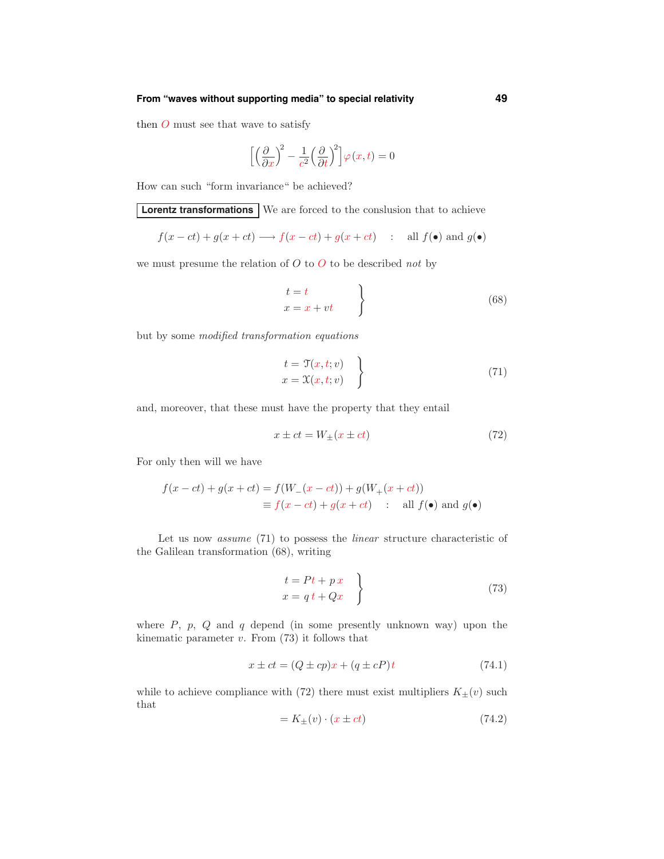#### **From "waves without supporting media" to special relativity 49**

then *O* must see that wave to satisfy

$$
\[ \left( \frac{\partial}{\partial x} \right)^2 - \frac{1}{c^2} \left( \frac{\partial}{\partial t} \right)^2 \] \varphi(x, t) = 0
$$

How can such "form invariance" be achieved?

**Lorentz transformations** We are forced to the conslusion that to achieve

$$
f(x - ct) + g(x + ct) \longrightarrow f(x - ct) + g(x + ct)
$$
 : all  $f(\bullet)$  and  $g(\bullet)$ 

we must presume the relation of *O* to *O* to be described not by

$$
\begin{aligned}\n t &= t \\
 x &= x + vt\n \end{aligned}\n \tag{68}
$$

but by some modified transformation equations

$$
\begin{aligned}\nt &= \mathfrak{T}(x, t; v) \\
x &= \mathfrak{X}(x, t; v)\n\end{aligned}
$$
\n(71)

and, moreover, that these must have the property that they entail

$$
x \pm ct = W_{\pm}(x \pm ct) \tag{72}
$$

For only then will we have

$$
f(x - ct) + g(x + ct) = f(W_-(x - ct)) + g(W_+(x + ct))
$$
  

$$
\equiv f(x - ct) + g(x + ct) : \text{all } f(\bullet) \text{ and } g(\bullet)
$$

Let us now *assume* (71) to possess the *linear* structure characteristic of the Galilean transformation (68), writing

$$
\begin{aligned}\n t &= Pt + px \\
 x &= q \, t + Qx\n \end{aligned}\n \tag{73}
$$

where *P*, *p*, *Q* and *q* depend (in some presently unknown way) upon the kinematic parameter  $v$ . From  $(73)$  it follows that

$$
x \pm ct = (Q \pm cp)x + (q \pm cP)t \tag{74.1}
$$

while to achieve compliance with (72) there must exist multipliers  $K_{\pm}(v)$  such that

$$
= K_{\pm}(v) \cdot (x \pm ct) \tag{74.2}
$$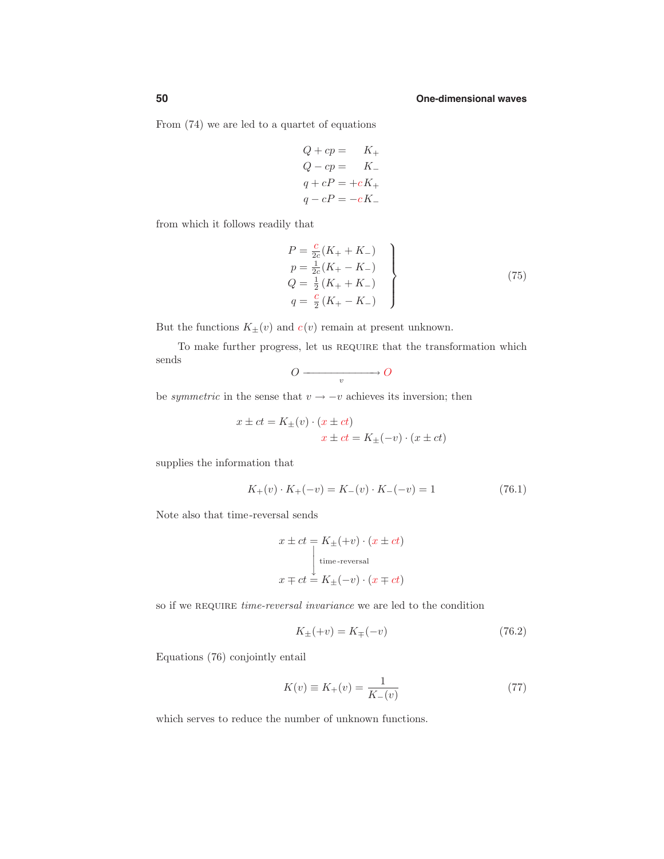From (74) we are led to a quartet of equations

$$
Q + cp = K_+
$$
  
\n
$$
Q - cp = K_-
$$
  
\n
$$
q + cP = +cK_+
$$
  
\n
$$
q - cP = -cK_-
$$

from which it follows readily that

$$
P = \frac{c}{2c}(K_{+} + K_{-})
$$
  
\n
$$
p = \frac{1}{2c}(K_{+} - K_{-})
$$
  
\n
$$
Q = \frac{1}{2}(K_{+} + K_{-})
$$
  
\n
$$
q = \frac{c}{2}(K_{+} - K_{-})
$$
\n(75)

But the functions  $K_{\pm}(v)$  and  $c(v)$  remain at present unknown.

To make further progress, let us require that the transformation which sends

$$
O \xrightarrow{v} O
$$

be *symmetric* in the sense that  $v \rightarrow -v$  achieves its inversion; then

$$
x \pm ct = K_{\pm}(v) \cdot (x \pm ct)
$$

$$
x \pm ct = K_{\pm}(-v) \cdot (x \pm ct)
$$

supplies the information that

$$
K_{+}(v) \cdot K_{+}(-v) = K_{-}(v) \cdot K_{-}(-v) = 1 \tag{76.1}
$$

Note also that time-reversal sends

$$
x \pm ct = K_{\pm}(+v) \cdot (x \pm ct)
$$
  
\n
$$
\downarrow
$$
 time-reversal  
\n
$$
x \mp ct = K_{\pm}(-v) \cdot (x \mp ct)
$$

so if we REQUIRE *time-reversal invariance* we are led to the condition

$$
K_{\pm}(+v) = K_{\mp}(-v)
$$
 (76.2)

Equations (76) conjointly entail

$$
K(v) \equiv K_{+}(v) = \frac{1}{K_{-}(v)}
$$
\n(77)

which serves to reduce the number of unknown functions.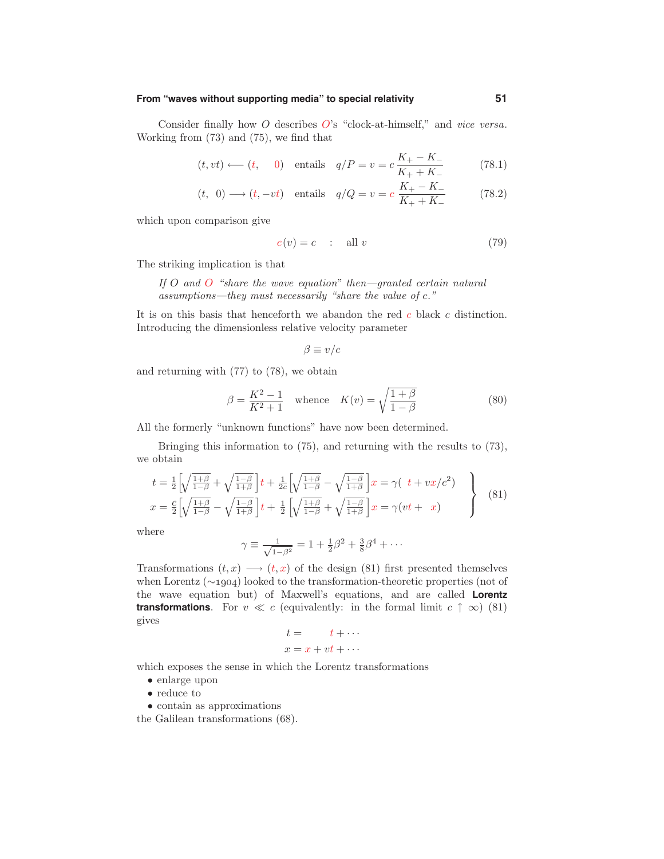#### **From "waves without supporting media" to special relativity 51**

Consider finally how *O* describes *O*'s "clock-at-himself," and *vice versa*. Working from (73) and (75), we find that

$$
(t, vt) \longleftarrow (t, 0)
$$
 entails  $q/P = v = c \frac{K_{+} - K_{-}}{K_{+} + K_{-}}$  (78.1)

$$
(t, 0) \longrightarrow (t, -vt)
$$
 entails  $q/Q = v = c \frac{K_{+} - K_{-}}{K_{+} + K_{-}}$  (78.2)

which upon comparison give

$$
c(v) = c \qquad \text{all } v \tag{79}
$$

The striking implication is that

If *O* and *O* "share the wave equation" then—granted certain natural assumptions—they must necessarily "share the value of *c*."

It is on this basis that henceforth we abandon the red *c* black *c* distinction. Introducing the dimensionless relative velocity parameter

$$
\beta \equiv v/c
$$

and returning with (77) to (78), we obtain

$$
\beta = \frac{K^2 - 1}{K^2 + 1} \quad \text{whence} \quad K(v) = \sqrt{\frac{1 + \beta}{1 - \beta}} \tag{80}
$$

All the formerly "unknown functions" have now been determined.

Bringing this information to (75), and returning with the results to (73), we obtain

$$
t = \frac{1}{2} \left[ \sqrt{\frac{1+\beta}{1-\beta}} + \sqrt{\frac{1-\beta}{1+\beta}} \right] t + \frac{1}{2c} \left[ \sqrt{\frac{1+\beta}{1-\beta}} - \sqrt{\frac{1-\beta}{1+\beta}} \right] x = \gamma (t + vx/c^2)
$$
  

$$
x = \frac{c}{2} \left[ \sqrt{\frac{1+\beta}{1-\beta}} - \sqrt{\frac{1-\beta}{1+\beta}} \right] t + \frac{1}{2} \left[ \sqrt{\frac{1+\beta}{1-\beta}} + \sqrt{\frac{1-\beta}{1+\beta}} \right] x = \gamma (vt + x)
$$
 (81)

where

$$
\gamma \equiv \frac{1}{\sqrt{1-\beta^2}} = 1 + \frac{1}{2}\beta^2 + \frac{3}{8}\beta^4 + \cdots
$$

Transformations  $(t, x) \longrightarrow (t, x)$  of the design (81) first presented themselves when Lorentz (∼*1904*) looked to the transformation-theoretic properties (not of the wave equation but) of Maxwell's equations, and are called **Lorentz transformations**. For  $v \ll c$  (equivalently: in the formal limit  $c \uparrow \infty$ ) (81) gives

$$
t = t + \cdots
$$

$$
x = x + vt + \cdots
$$

which exposes the sense in which the Lorentz transformations

- enlarge upon
- reduce to
- contain as approximations

the Galilean transformations (68).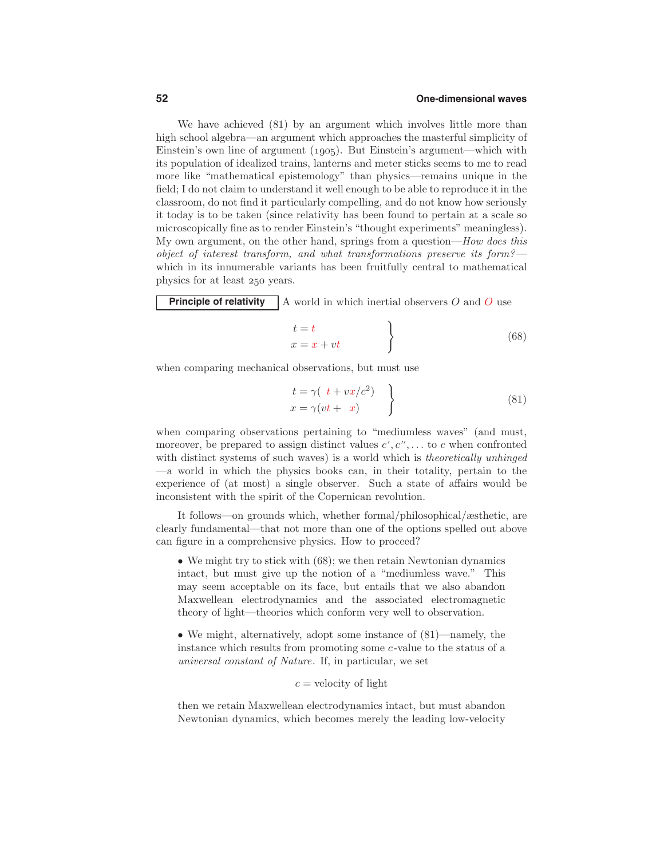We have achieved  $(81)$  by an argument which involves little more than high school algebra—an argument which approaches the masterful simplicity of Einstein's own line of argument (*1905*). But Einstein's argument—which with its population of idealized trains, lanterns and meter sticks seems to me to read more like "mathematical epistemology" than physics—remains unique in the field; I do not claim to understand it well enough to be able to reproduce it in the classroom, do not find it particularly compelling, and do not know how seriously it today is to be taken (since relativity has been found to pertain at a scale so microscopically fine as to render Einstein's "thought experiments" meaningless). My own argument, on the other hand, springs from a question—How does this object of interest transform, and what transformations preserve its form? which in its innumerable variants has been fruitfully central to mathematical physics for at least *250* years.

**Principle of relativity**  $\begin{bmatrix} A \text{ world in which inertial observers } O \text{ and } O \text{ use } \end{bmatrix}$ 

$$
\begin{aligned}\n t &= t \\
 x &= x + vt\n \end{aligned}
$$
\n(68)

when comparing mechanical observations, but must use

$$
\begin{aligned}\nt &= \gamma (t + vx/c^2) \\
x &= \gamma (vt + x)\n\end{aligned}
$$
\n(81)

when comparing observations pertaining to "mediumless waves" (and must, moreover, be prepared to assign distinct values  $c', c'', \ldots$  to  $c$  when confronted with distinct systems of such waves) is a world which is *theoretically unhinged* —a world in which the physics books can, in their totality, pertain to the experience of (at most) a single observer. Such a state of affairs would be inconsistent with the spirit of the Copernican revolution.

It follows—on grounds which, whether formal/philosophical/æsthetic, are clearly fundamental—that not more than one of the options spelled out above can figure in a comprehensive physics. How to proceed?

• We might try to stick with (68); we then retain Newtonian dynamics intact, but must give up the notion of a "mediumless wave." This may seem acceptable on its face, but entails that we also abandon Maxwellean electrodynamics and the associated electromagnetic theory of light—theories which conform very well to observation.

• We might, alternatively, adopt some instance of (81)—namely, the instance which results from promoting some *c*-value to the status of a universal constant of Nature. If, in particular, we set

#### $c =$  velocity of light

then we retain Maxwellean electrodynamics intact, but must abandon Newtonian dynamics, which becomes merely the leading low-velocity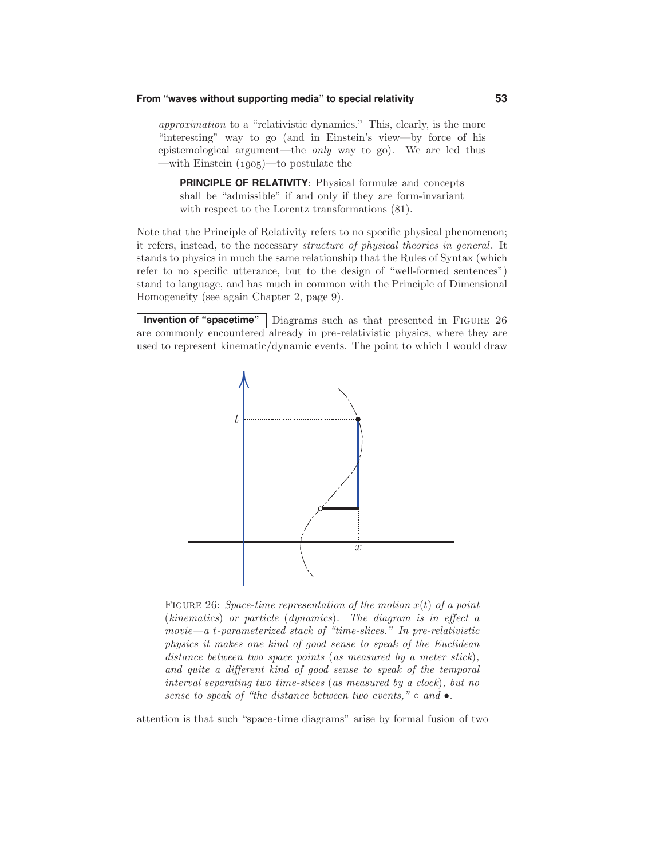#### **From "waves without supporting media" to special relativity 53**

approximation to a "relativistic dynamics." This, clearly, is the more "interesting" way to go (and in Einstein's view—by force of his epistemological argument—the only way to go). We are led thus —with Einstein (*1905*)—to postulate the

**PRINCIPLE OF RELATIVITY**: Physical formulæ and concepts shall be "admissible" if and only if they are form-invariant with respect to the Lorentz transformations (81).

Note that the Principle of Relativity refers to no specific physical phenomenon; it refers, instead, to the necessary structure of physical theories in general. It stands to physics in much the same relationship that the Rules of Syntax (which refer to no specific utterance, but to the design of "well-formed sentences") stand to language, and has much in common with the Principle of Dimensional Homogeneity (see again Chapter 2, page 9).

**Invention of "spacetime"** Diagrams such as that presented in FIGURE 26 are commonly encountered already in pre-relativistic physics, where they are used to represent kinematic/dynamic events. The point to which I would draw



FIGURE 26: Space-time representation of the motion  $x(t)$  of a point (kinematics) or particle (dynamics). The diagram is in effect a movie—a *t*-parameterized stack of "time-slices." In pre-relativistic physics it makes one kind of good sense to speak of the Euclidean distance between two space points (as measured by a meter stick), and quite a different kind of good sense to speak of the temporal interval separating two time-slices (as measured by a clock), but no sense to speak of "the distance between two events,"  $\circ$  and  $\bullet$ .

attention is that such "space-time diagrams" arise by formal fusion of two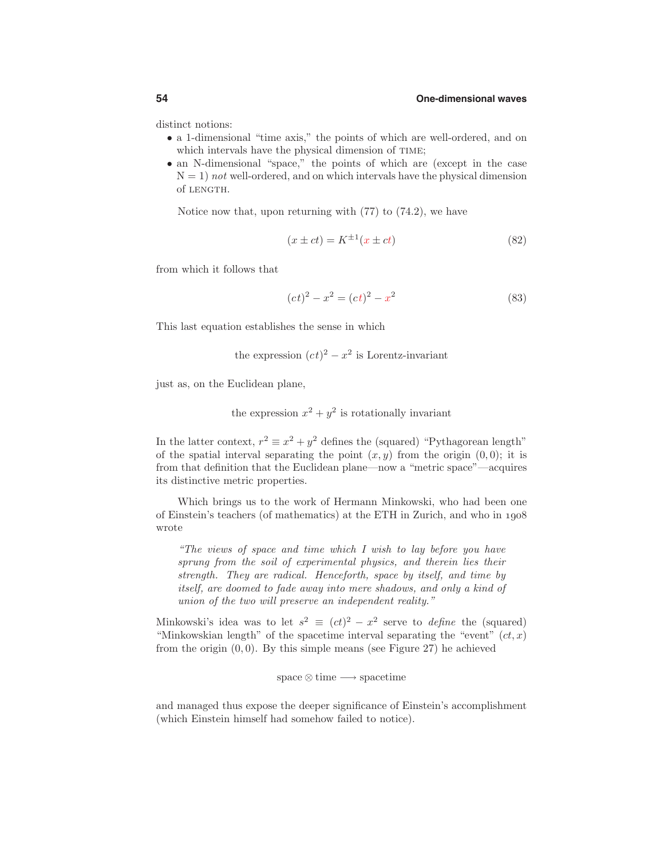distinct notions:

- a 1-dimensional "time axis," the points of which are well-ordered, and on which intervals have the physical dimension of TIME;
- an N-dimensional "space," the points of which are (except in the case  $N = 1$ ) not well-ordered, and on which intervals have the physical dimension of LENGTH.

Notice now that, upon returning with (77) to (74.2), we have

$$
(x \pm ct) = K^{\pm 1}(x \pm ct)
$$
\n
$$
(82)
$$

from which it follows that

$$
(ct)2 - x2 = (ct)2 - x2
$$
\n(83)

This last equation establishes the sense in which

the expression 
$$
(ct)^2 - x^2
$$
 is Lorentz-invariant

just as, on the Euclidean plane,

the expression  $x^2 + y^2$  is rotationally invariant

In the latter context,  $r^2 \equiv x^2 + y^2$  defines the (squared) "Pythagorean length" of the spatial interval separating the point  $(x, y)$  from the origin  $(0, 0)$ ; it is from that definition that the Euclidean plane—now a "metric space"—acquires its distinctive metric properties.

Which brings us to the work of Hermann Minkowski, who had been one of Einstein's teachers (of mathematics) at the ETH in Zurich, and who in *1908* wrote

"The views of space and time which I wish to lay before you have sprung from the soil of experimental physics, and therein lies their strength. They are radical. Henceforth, space by itself, and time by itself, are doomed to fade away into mere shadows, and only a kind of union of the two will preserve an independent reality."

Minkowski's idea was to let  $s^2 \equiv (ct)^2 - x^2$  serve to *define* the (squared) "Minkowskian length" of the spacetime interval separating the "event"  $(ct, x)$ from the origin (0*,* 0). By this simple means (see Figure 27) he achieved

space  $\otimes$  time  $\longrightarrow$  spacetime

and managed thus expose the deeper significance of Einstein's accomplishment (which Einstein himself had somehow failed to notice).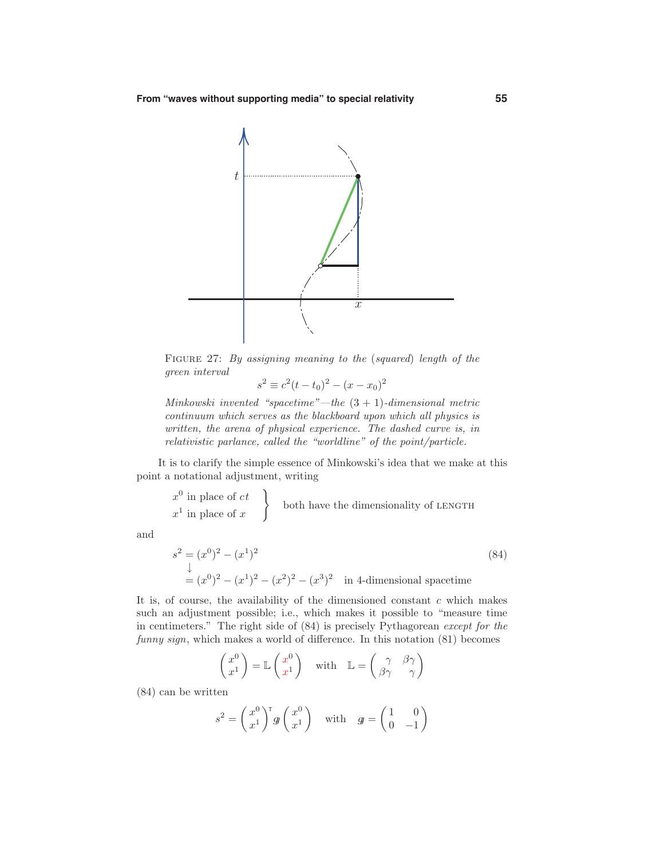

FIGURE 27: By assigning meaning to the (squared) length of the green interval 2

$$
s^2 \equiv c^2(t - t_0)^2 - (x - x_0)^2
$$

Minkowski invented "spacetime"—the  $(3 + 1)$ -dimensional metric continuum which serves as the blackboard upon which all physics is written, the arena of physical experience. The dashed curve is, in relativistic parlance, called the "worldline" of the point/particle.

It is to clarify the simple essence of Minkowski's idea that we make at this point a notational adjustment, writing

$$
\begin{array}{c}\nx^0 \text{ in place of } ct \\
x^1 \text{ in place of } x\n\end{array}
$$
\n
$$
\left.\begin{array}{c}\n\text{both have the dimensionality of LENGTH} \\
\end{array}\right\}
$$

and

$$
s^{2} = (x^{0})^{2} - (x^{1})^{2}
$$
  
\n
$$
\downarrow
$$
  
\n
$$
= (x^{0})^{2} - (x^{1})^{2} - (x^{2})^{2} - (x^{3})^{2}
$$
 in 4-dimensional spacetime

It is, of course, the availability of the dimensioned constant *c* which makes such an adjustment possible; i.e., which makes it possible to "measure time in centimeters." The right side of (84) is precisely Pythagorean except for the funny sign, which makes a world of difference. In this notation  $(81)$  becomes

$$
\begin{pmatrix} x^0 \\ x^1 \end{pmatrix} = \mathbb{L} \begin{pmatrix} x^0 \\ x^1 \end{pmatrix} \quad \text{with} \quad \mathbb{L} = \begin{pmatrix} \gamma & \beta \gamma \\ \beta \gamma & \gamma \end{pmatrix}
$$

(84) can be written

$$
s^{2} = \begin{pmatrix} x^{0} \\ x^{1} \end{pmatrix}^{\mathsf{T}} g \begin{pmatrix} x^{0} \\ x^{1} \end{pmatrix} \text{ with } g = \begin{pmatrix} 1 & 0 \\ 0 & -1 \end{pmatrix}
$$